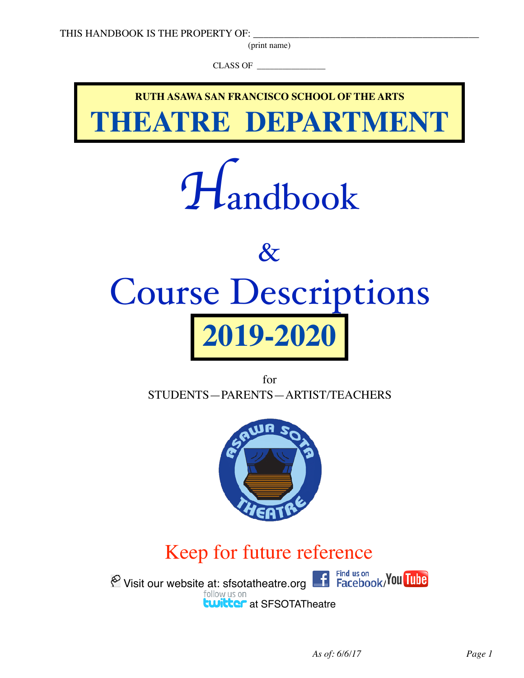(print name)

CLASS OF



for STUDENTS—PARENTS—ARTIST/TEACHERS



# Keep for future reference

 $\bigotimes_{f}$  Visit our website at: sfsotatheatre.org  $\bigcup_{f}$  Find us on **twitter** at SFSOTATheatre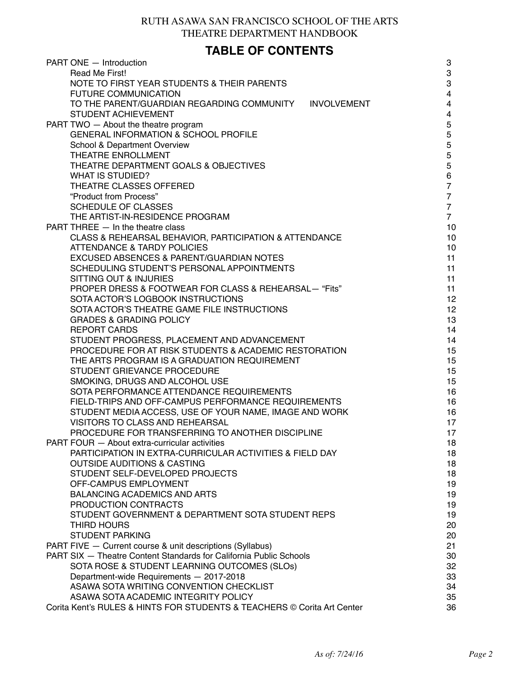### RUTH ASAWA SAN FRANCISCO SCHOOL OF THE ARTS THEATRE DEPARTMENT HANDBOOK

### **TABLE OF CONTENTS**

| PART ONE - Introduction                                                 | 3                       |
|-------------------------------------------------------------------------|-------------------------|
| Read Me First!                                                          | 3                       |
| NOTE TO FIRST YEAR STUDENTS & THEIR PARENTS                             | 3                       |
| <b>FUTURE COMMUNICATION</b>                                             | $\overline{4}$          |
| TO THE PARENT/GUARDIAN REGARDING COMMUNITY<br><b>INVOLVEMENT</b>        | $\overline{\mathbf{4}}$ |
| STUDENT ACHIEVEMENT                                                     | $\overline{\mathbf{4}}$ |
| PART TWO - About the theatre program                                    | 5                       |
| GENERAL INFORMATION & SCHOOL PROFILE                                    | $\overline{5}$          |
| <b>School &amp; Department Overview</b>                                 | 5                       |
| THEATRE ENROLLMENT                                                      | 5                       |
| THEATRE DEPARTMENT GOALS & OBJECTIVES                                   | $\overline{5}$          |
| <b>WHAT IS STUDIED?</b>                                                 | 6                       |
| THEATRE CLASSES OFFERED                                                 | $\overline{7}$          |
| "Product from Process"                                                  | $\overline{7}$          |
| <b>SCHEDULE OF CLASSES</b>                                              | $\overline{7}$          |
| THE ARTIST-IN-RESIDENCE PROGRAM                                         | $\overline{7}$          |
| PART THREE - In the theatre class                                       | 10                      |
| CLASS & REHEARSAL BEHAVIOR, PARTICIPATION & ATTENDANCE                  | 10                      |
| <b>ATTENDANCE &amp; TARDY POLICIES</b>                                  | 10                      |
| EXCUSED ABSENCES & PARENT/GUARDIAN NOTES                                | 11                      |
| SCHEDULING STUDENT'S PERSONAL APPOINTMENTS                              | 11                      |
| SITTING OUT & INJURIES                                                  | 11                      |
| PROPER DRESS & FOOTWEAR FOR CLASS & REHEARSAL— "Fits"                   | 11                      |
| SOTA ACTOR'S LOGBOOK INSTRUCTIONS                                       | 12                      |
| SOTA ACTOR'S THEATRE GAME FILE INSTRUCTIONS                             | 12                      |
| <b>GRADES &amp; GRADING POLICY</b>                                      | 13                      |
| <b>REPORT CARDS</b>                                                     | 14                      |
| STUDENT PROGRESS, PLACEMENT AND ADVANCEMENT                             | 14                      |
| PROCEDURE FOR AT RISK STUDENTS & ACADEMIC RESTORATION                   | 15                      |
| THE ARTS PROGRAM IS A GRADUATION REQUIREMENT                            | 15                      |
| STUDENT GRIEVANCE PROCEDURE                                             | 15                      |
| SMOKING, DRUGS AND ALCOHOL USE                                          | 15                      |
| SOTA PERFORMANCE ATTENDANCE REQUIREMENTS                                | 16                      |
| FIELD-TRIPS AND OFF-CAMPUS PERFORMANCE REQUIREMENTS                     | 16                      |
| STUDENT MEDIA ACCESS, USE OF YOUR NAME, IMAGE AND WORK                  | 16                      |
| VISITORS TO CLASS AND REHEARSAL                                         | 17                      |
| PROCEDURE FOR TRANSFERRING TO ANOTHER DISCIPLINE                        | 17                      |
| PART FOUR - About extra-curricular activities                           | 18                      |
| PARTICIPATION IN EXTRA-CURRICULAR ACTIVITIES & FIELD DAY                | 18                      |
| <b>OUTSIDE AUDITIONS &amp; CASTING</b>                                  | 18                      |
| STUDENT SELF-DEVELOPED PROJECTS                                         | 18                      |
| OFF-CAMPUS EMPLOYMENT                                                   | 19                      |
| <b>BALANCING ACADEMICS AND ARTS</b>                                     | 19                      |
| PRODUCTION CONTRACTS                                                    | 19                      |
| STUDENT GOVERNMENT & DEPARTMENT SOTA STUDENT REPS                       | 19                      |
| THIRD HOURS                                                             | 20                      |
| <b>STUDENT PARKING</b>                                                  | 20                      |
| PART FIVE - Current course & unit descriptions (Syllabus)               | 21                      |
| PART SIX - Theatre Content Standards for California Public Schools      | 30                      |
| SOTA ROSE & STUDENT LEARNING OUTCOMES (SLOS)                            | 32                      |
| Department-wide Requirements - 2017-2018                                | 33                      |
| ASAWA SOTA WRITING CONVENTION CHECKLIST                                 | 34                      |
| ASAWA SOTA ACADEMIC INTEGRITY POLICY                                    | 35                      |
| Corita Kent's RULES & HINTS FOR STUDENTS & TEACHERS © Corita Art Center | 36                      |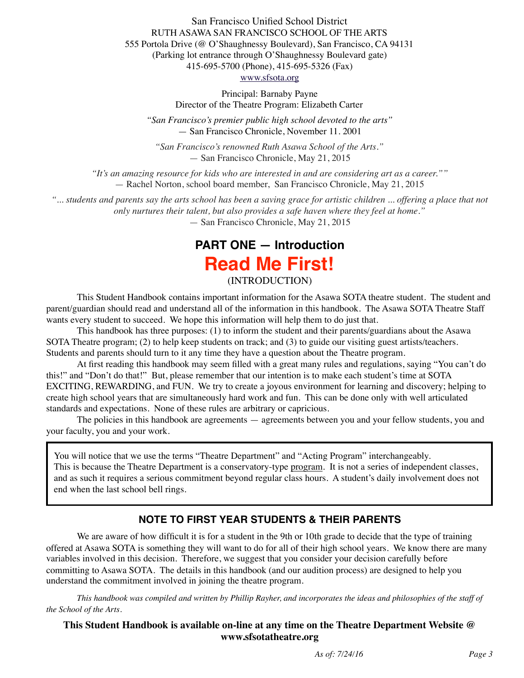San Francisco Unified School District RUTH ASAWA SAN FRANCISCO SCHOOL OF THE ARTS 555 Portola Drive (@ O'Shaughnessy Boulevard), San Francisco, CA 94131 (Parking lot entrance through O'Shaughnessy Boulevard gate) 415-695-5700 (Phone), 415-695-5326 (Fax) [www.sfsota.org](http://www.sfsota.org)

> Principal: Barnaby Payne Director of the Theatre Program: Elizabeth Carter

*"San Francisco's premier public high school devoted to the arts"*  — San Francisco Chronicle, November 11. 2001

*"San Francisco's renowned Ruth Asawa School of the Arts."* — San Francisco Chronicle, May 21, 2015

*"It's an amazing resource for kids who are interested in and are considering art as a career.""*  — Rachel Norton, school board member, San Francisco Chronicle, May 21, 2015

*"... students and parents say the arts school has been a saving grace for artistic children ... offering a place that not only nurtures their talent, but also provides a safe haven where they feel at home."* 

— San Francisco Chronicle, May 21, 2015

# **PART ONE — Introduction Read Me First!**

(INTRODUCTION)

This Student Handbook contains important information for the Asawa SOTA theatre student. The student and parent/guardian should read and understand all of the information in this handbook. The Asawa SOTA Theatre Staff wants every student to succeed. We hope this information will help them to do just that.

This handbook has three purposes: (1) to inform the student and their parents/guardians about the Asawa SOTA Theatre program; (2) to help keep students on track; and (3) to guide our visiting guest artists/teachers. Students and parents should turn to it any time they have a question about the Theatre program.

At first reading this handbook may seem filled with a great many rules and regulations, saying "You can't do this!" and "Don't do that!" But, please remember that our intention is to make each student's time at SOTA EXCITING, REWARDING, and FUN. We try to create a joyous environment for learning and discovery; helping to create high school years that are simultaneously hard work and fun. This can be done only with well articulated standards and expectations. None of these rules are arbitrary or capricious.

The policies in this handbook are agreements — agreements between you and your fellow students, you and your faculty, you and your work.

You will notice that we use the terms "Theatre Department" and "Acting Program" interchangeably. This is because the Theatre Department is a conservatory-type program. It is not a series of independent classes, and as such it requires a serious commitment beyond regular class hours. A student's daily involvement does not end when the last school bell rings.

### **NOTE TO FIRST YEAR STUDENTS & THEIR PARENTS**

We are aware of how difficult it is for a student in the 9th or 10th grade to decide that the type of training offered at Asawa SOTA is something they will want to do for all of their high school years. We know there are many variables involved in this decision. Therefore, we suggest that you consider your decision carefully before committing to Asawa SOTA. The details in this handbook (and our audition process) are designed to help you understand the commitment involved in joining the theatre program.

*This handbook was compiled and written by Phillip Rayher, and incorporates the ideas and philosophies of the staff of the School of the Arts.*

#### **This Student Handbook is available on-line at any time on the Theatre Department Website @ www.sfsotatheatre.org**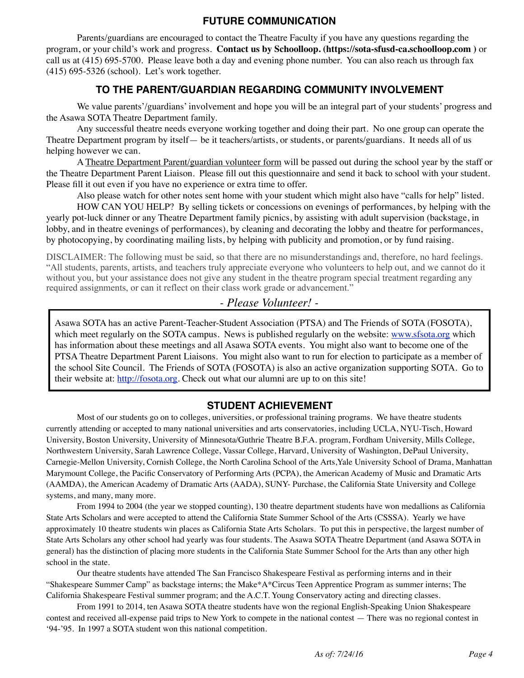### **FUTURE COMMUNICATION**

Parents/guardians are encouraged to contact the Theatre Faculty if you have any questions regarding the program, or your child's work and progress. **Contact us by Schoolloop. (https://sota-sfusd-ca.schoolloop.com )** or call us at (415) 695-5700. Please leave both a day and evening phone number. You can also reach us through fax (415) 695-5326 (school). Let's work together.

### **TO THE PARENT/GUARDIAN REGARDING COMMUNITY INVOLVEMENT**

We value parents'/guardians' involvement and hope you will be an integral part of your students' progress and the Asawa SOTA Theatre Department family.

Any successful theatre needs everyone working together and doing their part. No one group can operate the Theatre Department program by itself— be it teachers/artists, or students, or parents/guardians. It needs all of us helping however we can.

A Theatre Department Parent/guardian volunteer form will be passed out during the school year by the staff or the Theatre Department Parent Liaison. Please fill out this questionnaire and send it back to school with your student. Please fill it out even if you have no experience or extra time to offer.

Also please watch for other notes sent home with your student which might also have "calls for help" listed.

HOW CAN YOU HELP? By selling tickets or concessions on evenings of performances, by helping with the yearly pot-luck dinner or any Theatre Department family picnics, by assisting with adult supervision (backstage, in lobby, and in theatre evenings of performances), by cleaning and decorating the lobby and theatre for performances, by photocopying, by coordinating mailing lists, by helping with publicity and promotion, or by fund raising.

DISCLAIMER: The following must be said, so that there are no misunderstandings and, therefore, no hard feelings. "All students, parents, artists, and teachers truly appreciate everyone who volunteers to help out, and we cannot do it without you, but your assistance does not give any student in the theatre program special treatment regarding any required assignments, or can it reflect on their class work grade or advancement."

### *- Please Volunteer! -*

Asawa SOTA has an active Parent-Teacher-Student Association (PTSA) and The Friends of SOTA (FOSOTA), which meet regularly on the SOTA campus. News is published regularly on the website: [www.sfsota.org](http://www.sfsota.org) which has information about these meetings and all Asawa SOTA events. You might also want to become one of the PTSA Theatre Department Parent Liaisons. You might also want to run for election to participate as a member of the school Site Council. The Friends of SOTA (FOSOTA) is also an active organization supporting SOTA. Go to their website at: [http://fosota.org.](http://fosota.org) Check out what our alumni are up to on this site!

### **STUDENT ACHIEVEMENT**

Most of our students go on to colleges, universities, or professional training programs. We have theatre students currently attending or accepted to many national universities and arts conservatories, including UCLA, NYU-Tisch, Howard University, Boston University, University of Minnesota/Guthrie Theatre B.F.A. program, Fordham University, Mills College, Northwestern University, Sarah Lawrence College, Vassar College, Harvard, University of Washington, DePaul University, Carnegie-Mellon University, Cornish College, the North Carolina School of the Arts,Yale University School of Drama, Manhattan Marymount College, the Pacific Conservatory of Performing Arts (PCPA), the American Academy of Music and Dramatic Arts (AAMDA), the American Academy of Dramatic Arts (AADA), SUNY- Purchase, the California State University and College systems, and many, many more.

From 1994 to 2004 (the year we stopped counting), 130 theatre department students have won medallions as California State Arts Scholars and were accepted to attend the California State Summer School of the Arts (CSSSA). Yearly we have approximately 10 theatre students win places as California State Arts Scholars. To put this in perspective, the largest number of State Arts Scholars any other school had yearly was four students. The Asawa SOTA Theatre Department (and Asawa SOTA in general) has the distinction of placing more students in the California State Summer School for the Arts than any other high school in the state.

Our theatre students have attended The San Francisco Shakespeare Festival as performing interns and in their "Shakespeare Summer Camp" as backstage interns; the Make\*A\*Circus Teen Apprentice Program as summer interns; The California Shakespeare Festival summer program; and the A.C.T. Young Conservatory acting and directing classes.

From 1991 to 2014, ten Asawa SOTA theatre students have won the regional English-Speaking Union Shakespeare contest and received all-expense paid trips to New York to compete in the national contest — There was no regional contest in '94-'95. In 1997 a SOTA student won this national competition.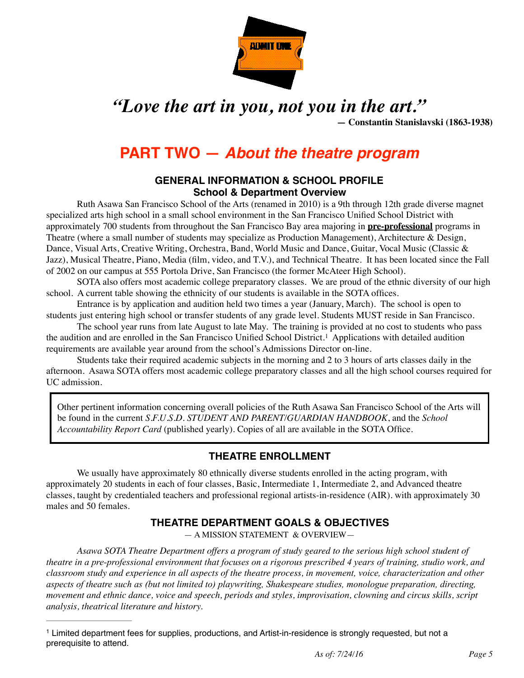

# *"Love the art in you, not you in the art."*

**— Constantin Stanislavski (1863-1938)**

# **PART TWO —** *About the theatre program*

#### **GENERAL INFORMATION & SCHOOL PROFILE School & Department Overview**

Ruth Asawa San Francisco School of the Arts (renamed in 2010) is a 9th through 12th grade diverse magnet specialized arts high school in a small school environment in the San Francisco Unified School District with approximately 700 students from throughout the San Francisco Bay area majoring in **pre-professional** programs in Theatre (where a small number of students may specialize as Production Management), Architecture & Design, Dance, Visual Arts, Creative Writing, Orchestra, Band, World Music and Dance, Guitar, Vocal Music (Classic & Jazz), Musical Theatre, Piano, Media (film, video, and T.V.), and Technical Theatre. It has been located since the Fall of 2002 on our campus at 555 Portola Drive, San Francisco (the former McAteer High School).

SOTA also offers most academic college preparatory classes. We are proud of the ethnic diversity of our high school. A current table showing the ethnicity of our students is available in the SOTA offices.

Entrance is by application and audition held two times a year (January, March). The school is open to students just entering high school or transfer students of any grade level. Students MUST reside in San Francisco.

The school year runs from late August to late May. The training is provided at no cost to students who pass the audition and are enrolled in the San Francisco Unified School District.<sup>[1](#page-4-0)</sup> Applications with detailed audition requirements are available year around from the school's Admissions Director on-line.

Students take their required academic subjects in the morning and 2 to 3 hours of arts classes daily in the afternoon. Asawa SOTA offers most academic college preparatory classes and all the high school courses required for UC admission.

Other pertinent information concerning overall policies of the Ruth Asawa San Francisco School of the Arts will be found in the current *S.F.U.S.D. STUDENT AND PARENT/GUARDIAN HANDBOOK*, and the *School Accountability Report Card* (published yearly). Copies of all are available in the SOTA Office.

### <span id="page-4-1"></span>**THEATRE ENROLLMENT**

We usually have approximately 80 ethnically diverse students enrolled in the acting program, with approximately 20 students in each of four classes, Basic, Intermediate 1, Intermediate 2, and Advanced theatre classes, taught by credentialed teachers and professional regional artists-in-residence (AIR). with approximately 30 males and 50 females.

### **THEATRE DEPARTMENT GOALS & OBJECTIVES**

— A MISSION STATEMENT & OVERVIEW—

*Asawa SOTA Theatre Department offers a program of study geared to the serious high school student of theatre in a pre-professional environment that focuses on a rigorous prescribed 4 years of training, studio work, and classroom study and experience in all aspects of the theatre process, in movement, voice, characterization and other aspects of theatre such as (but not limited to) playwriting, Shakespeare studies, monologue preparation, directing, movement and ethnic dance, voice and speech, periods and styles, improvisation, clowning and circus skills, script analysis, theatrical literature and history.*

<span id="page-4-0"></span>Limited department fees for supplies, productions, and Artist-in-residence is strongly requested, but not a [1](#page-4-1) prerequisite to attend.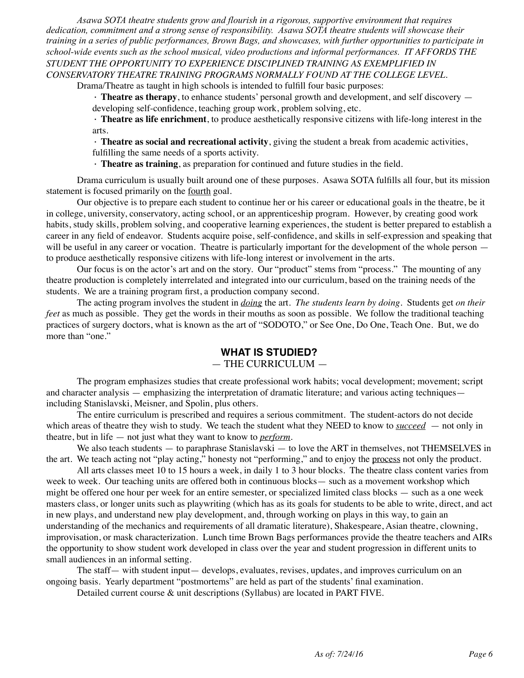*Asawa SOTA theatre students grow and flourish in a rigorous, supportive environment that requires dedication, commitment and a strong sense of responsibility. Asawa SOTA theatre students will showcase their training in a series of public performances, Brown Bags, and showcases, with further opportunities to participate in school-wide events such as the school musical, video productions and informal performances. IT AFFORDS THE STUDENT THE OPPORTUNITY TO EXPERIENCE DISCIPLINED TRAINING AS EXEMPLIFIED IN CONSERVATORY THEATRE TRAINING PROGRAMS NORMALLY FOUND AT THE COLLEGE LEVEL.*

Drama/Theatre as taught in high schools is intended to fulfill four basic purposes:

· **Theatre as therapy**, to enhance students' personal growth and development, and self discovery developing self-confidence, teaching group work, problem solving, etc.

· **Theatre as life enrichment**, to produce aesthetically responsive citizens with life-long interest in the arts.

· **Theatre as social and recreational activity**, giving the student a break from academic activities,

fulfilling the same needs of a sports activity.

· **Theatre as training**, as preparation for continued and future studies in the field.

Drama curriculum is usually built around one of these purposes. Asawa SOTA fulfills all four, but its mission statement is focused primarily on the fourth goal.

Our objective is to prepare each student to continue her or his career or educational goals in the theatre, be it in college, university, conservatory, acting school, or an apprenticeship program. However, by creating good work habits, study skills, problem solving, and cooperative learning experiences, the student is better prepared to establish a career in any field of endeavor. Students acquire poise, self-confidence, and skills in self-expression and speaking that will be useful in any career or vocation. Theatre is particularly important for the development of the whole person to produce aesthetically responsive citizens with life-long interest or involvement in the arts.

Our focus is on the actor's art and on the story. Our "product" stems from "process." The mounting of any theatre production is completely interrelated and integrated into our curriculum, based on the training needs of the students. We are a training program first, a production company second.

The acting program involves the student in *doing* the art. *The students learn by doing*. Students get *on their feet* as much as possible. They get the words in their mouths as soon as possible. We follow the traditional teaching practices of surgery doctors, what is known as the art of "SODOTO," or See One, Do One, Teach One. But, we do more than "one."

### **WHAT IS STUDIED?**

#### — THE CURRICULUM —

The program emphasizes studies that create professional work habits; vocal development; movement; script and character analysis — emphasizing the interpretation of dramatic literature; and various acting techniques including Stanislavski, Meisner, and Spolin, plus others.

The entire curriculum is prescribed and requires a serious commitment. The student-actors do not decide which areas of theatre they wish to study. We teach the student what they NEED to know to *succeed* — not only in theatre, but in life — not just what they want to know to *perform*.

We also teach students — to paraphrase Stanislavski — to love the ART in themselves, not THEMSELVES in the art. We teach acting not "play acting," honesty not "performing," and to enjoy the process not only the product.

All arts classes meet 10 to 15 hours a week, in daily 1 to 3 hour blocks. The theatre class content varies from week to week. Our teaching units are offered both in continuous blocks— such as a movement workshop which might be offered one hour per week for an entire semester, or specialized limited class blocks — such as a one week masters class, or longer units such as playwriting (which has as its goals for students to be able to write, direct, and act in new plays, and understand new play development, and, through working on plays in this way, to gain an understanding of the mechanics and requirements of all dramatic literature), Shakespeare, Asian theatre, clowning, improvisation, or mask characterization. Lunch time Brown Bags performances provide the theatre teachers and AIRs the opportunity to show student work developed in class over the year and student progression in different units to small audiences in an informal setting.

The staff— with student input— develops, evaluates, revises, updates, and improves curriculum on an ongoing basis. Yearly department "postmortems" are held as part of the students' final examination.

Detailed current course & unit descriptions (Syllabus) are located in PART FIVE.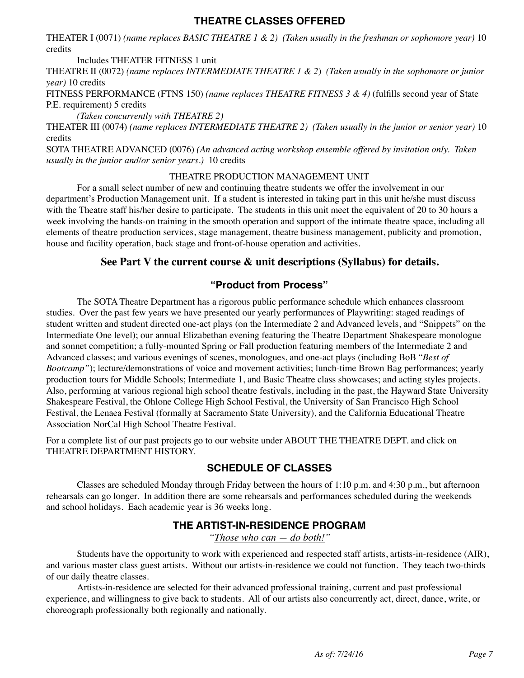### **THEATRE CLASSES OFFERED**

THEATER I (0071) *(name replaces BASIC THEATRE 1 & 2) (Taken usually in the freshman or sophomore year)* 10 credits

Includes THEATER FITNESS 1 unit

THEATRE II (0072) *(name replaces INTERMEDIATE THEATRE 1 & 2*) *(Taken usually in the sophomore or junior year)* 10 credits

FITNESS PERFORMANCE (FTNS 150) *(name replaces THEATRE FITNESS 3 & 4)* (fulfills second year of State P.E. requirement) 5 credits

*(Taken concurrently with THEATRE 2)*

THEATER III (0074) *(name replaces INTERMEDIATE THEATRE 2) (Taken usually in the junior or senior year)* 10 credits

SOTA THEATRE ADVANCED (0076) *(An advanced acting workshop ensemble offered by invitation only. Taken usually in the junior and/or senior years.)* 10 credits

#### THEATRE PRODUCTION MANAGEMENT UNIT

For a small select number of new and continuing theatre students we offer the involvement in our department's Production Management unit. If a student is interested in taking part in this unit he/she must discuss with the Theatre staff his/her desire to participate. The students in this unit meet the equivalent of 20 to 30 hours a week involving the hands-on training in the smooth operation and support of the intimate theatre space, including all elements of theatre production services, stage management, theatre business management, publicity and promotion, house and facility operation, back stage and front-of-house operation and activities.

#### **See Part V the current course & unit descriptions (Syllabus) for details.**

### **"Product from Process"**

The SOTA Theatre Department has a rigorous public performance schedule which enhances classroom studies. Over the past few years we have presented our yearly performances of Playwriting: staged readings of student written and student directed one-act plays (on the Intermediate 2 and Advanced levels, and "Snippets" on the Intermediate One level); our annual Elizabethan evening featuring the Theatre Department Shakespeare monologue and sonnet competition; a fully-mounted Spring or Fall production featuring members of the Intermediate 2 and Advanced classes; and various evenings of scenes, monologues, and one-act plays (including BoB "*Best of Bootcamp"*); lecture/demonstrations of voice and movement activities; lunch-time Brown Bag performances; yearly production tours for Middle Schools; Intermediate 1, and Basic Theatre class showcases; and acting styles projects. Also, performing at various regional high school theatre festivals, including in the past, the Hayward State University Shakespeare Festival, the Ohlone College High School Festival, the University of San Francisco High School Festival, the Lenaea Festival (formally at Sacramento State University), and the California Educational Theatre Association NorCal High School Theatre Festival.

For a complete list of our past projects go to our website under ABOUT THE THEATRE DEPT. and click on THEATRE DEPARTMENT HISTORY.

### **SCHEDULE OF CLASSES**

Classes are scheduled Monday through Friday between the hours of 1:10 p.m. and 4:30 p.m., but afternoon rehearsals can go longer. In addition there are some rehearsals and performances scheduled during the weekends and school holidays. Each academic year is 36 weeks long.

### **THE ARTIST-IN-RESIDENCE PROGRAM**

*"Those who can — do both!"*

Students have the opportunity to work with experienced and respected staff artists, artists-in-residence (AIR), and various master class guest artists. Without our artists-in-residence we could not function. They teach two-thirds of our daily theatre classes.

Artists-in-residence are selected for their advanced professional training, current and past professional experience, and willingness to give back to students. All of our artists also concurrently act, direct, dance, write, or choreograph professionally both regionally and nationally.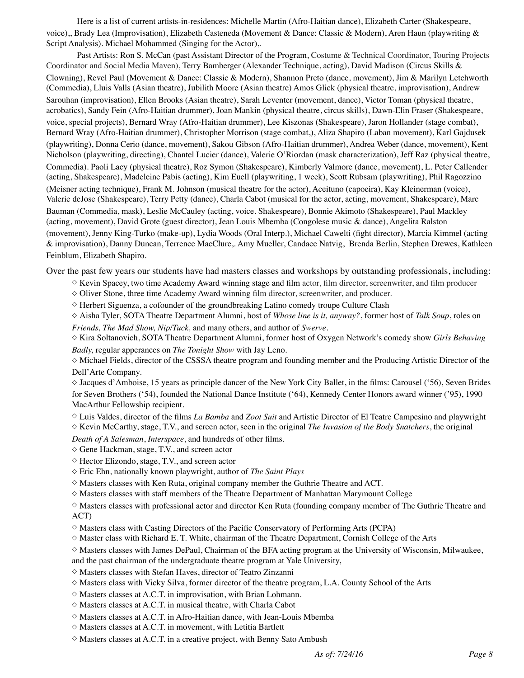Here is a list of current artists-in-residences: Michelle Martin (Afro-Haitian dance), Elizabeth Carter (Shakespeare, voice),, Brady Lea (Improvisation), Elizabeth Casteneda (Movement & Dance: Classic & Modern), Aren Haun (playwriting & Script Analysis). Michael Mohammed (Singing for the Actor),.

Past Artists: Ron S. McCan (past Assistant Director of the Program, Costume & Technical Coordinator, Touring Projects Coordinator and Social Media Maven), Terry Bamberger (Alexander Technique, acting), David Madison (Circus Skills & Clowning), Revel Paul (Movement & Dance: Classic & Modern), Shannon Preto (dance, movement), Jim & Marilyn Letchworth (Commedia), Lluis Valls (Asian theatre), Jubilith Moore (Asian theatre) Amos Glick (physical theatre, improvisation), Andrew Sarouhan (improvisation), Ellen Brooks (Asian theatre), Sarah Leventer (movement, dance), Victor Toman (physical theatre, acrobatics), Sandy Fein (Afro-Haitian drummer), Joan Mankin (physical theatre, circus skills), Dawn-Elin Fraser (Shakespeare, voice, special projects), Bernard Wray (Afro-Haitian drummer), Lee Kiszonas (Shakespeare), Jaron Hollander (stage combat), Bernard Wray (Afro-Haitian drummer), Christopher Morrison (stage combat,), Aliza Shapiro (Laban movement), Karl Gajdusek (playwriting), Donna Cerio (dance, movement), Sakou Gibson (Afro-Haitian drummer), Andrea Weber (dance, movement), Kent Nicholson (playwriting, directing), Chantel Lucier (dance), Valerie O'Riordan (mask characterization), Jeff Raz (physical theatre, Commedia). Paoli Lacy (physical theatre), Roz Symon (Shakespeare), Kimberly Valmore (dance, movement), L. Peter Callender (acting, Shakespeare), Madeleine Pabis (acting), Kim Euell (playwriting, 1 week), Scott Rubsam (playwriting), Phil Ragozzino (Meisner acting technique), Frank M. Johnson (musical theatre for the actor), Aceituno (capoeira), Kay Kleinerman (voice), Valerie deJose (Shakespeare), Terry Petty (dance), Charla Cabot (musical for the actor, acting, movement, Shakespeare), Marc Bauman (Commedia, mask), Leslie McCauley (acting, voice. Shakespeare), Bonnie Akimoto (Shakespeare), Paul Mackley (acting, movement), David Grote (guest director), Jean Louis Mbemba (Congolese music & dance), Angelita Ralston (movement), Jenny King-Turko (make-up), Lydia Woods (Oral Interp.), Michael Cawelti (fight director), Marcia Kimmel (acting & improvisation), Danny Duncan, Terrence MacClure,. Amy Mueller, Candace Natvig, Brenda Berlin, Stephen Drewes, Kathleen Feinblum, Elizabeth Shapiro.

Over the past few years our students have had masters classes and workshops by outstanding professionals, including:

 $\diamond$  Kevin Spacey, two time Academy Award winning stage and film actor, film director, screenwriter, and film producer

 $\Diamond$  Oliver Stone, three time Academy Award winning film director, screenwriter, and producer.

 $\diamond$  Herbert Siguenza, a cofounder of the groundbreaking Latino comedy troupe Culture Clash

◇ Aisha Tyler, SOTA Theatre Department Alumni, host of *Whose line is it, anyway?*, former host of *Talk Soup*, roles on *Friends, The Mad Show, Nip/Tuck,* and many others, and author of *Swerve.*

◇ Kira Soltanovich, SOTA Theatre Department Alumni, former host of Oxygen Network's comedy show *Girls Behaving Badly,* regular apperances on *The Tonight Show* with Jay Leno*.*

 $\diamond$  Michael Fields, director of the CSSSA theatre program and founding member and the Producing Artistic Director of the Dell'Arte Company.

◇ Jacques d'Amboise, 15 years as principle dancer of the New York City Ballet, in the films: Carousel ('56), Seven Brides for Seven Brothers ('54), founded the National Dance Institute ('64), Kennedy Center Honors award winner ('95), 1990 MacArthur Fellowship recipient.

◇ Luis Valdes, director of the films *La Bamba* and *Zoot Suit* and Artistic Director of El Teatre Campesino and playwright ◇ Kevin McCarthy, stage, T.V., and screen actor, seen in the original *The Invasion of the Body Snatchers*, the original

*Death of A Salesman*, *Interspace*, and hundreds of other films.

◇ Gene Hackman, stage, T.V., and screen actor

◇ Hector Elizondo, stage, T.V., and screen actor

◇ Eric Ehn, nationally known playwright, author of *The Saint Plays*

 $\diamond$  Masters classes with Ken Ruta, original company member the Guthrie Theatre and ACT.

 $\diamond$  Masters classes with staff members of the Theatre Department of Manhattan Marymount College

 $\diamond$  Masters classes with professional actor and director Ken Ruta (founding company member of The Guthrie Theatre and ACT)

 $\diamond$  Masters class with Casting Directors of the Pacific Conservatory of Performing Arts (PCPA)

 $\diamond$  Master class with Richard E. T. White, chairman of the Theatre Department, Cornish College of the Arts

 $\diamond$  Masters classes with James DePaul, Chairman of the BFA acting program at the University of Wisconsin, Milwaukee, and the past chairman of the undergraduate theatre program at Yale University,

◇ Masters classes with Stefan Haves, director of Teatro Zinzanni

◇ Masters class with Vicky Silva, former director of the theatre program, L.A. County School of the Arts

 $\diamond$  Masters classes at A.C.T. in improvisation, with Brian Lohmann.

◇ Masters classes at A.C.T. in musical theatre, with Charla Cabot

 $\diamond$  Masters classes at A.C.T. in Afro-Haitian dance, with Jean-Louis Mbemba

◇ Masters classes at A.C.T. in movement, with Letitia Bartlett

 $\diamond$  Masters classes at A.C.T. in a creative project, with Benny Sato Ambush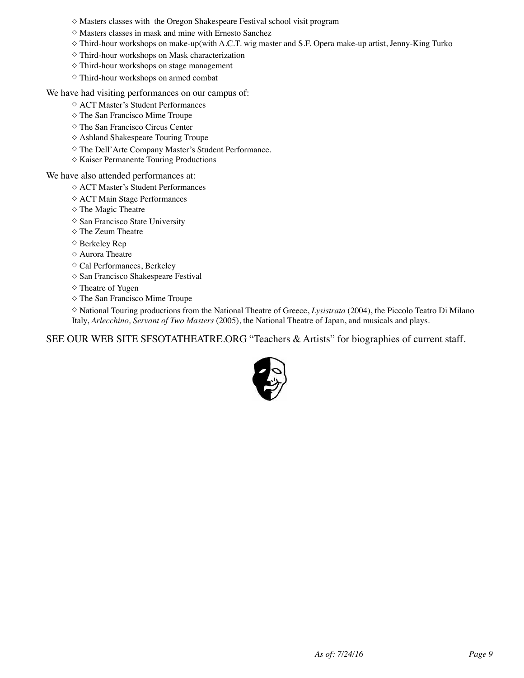- ◇ Masters classes with the Oregon Shakespeare Festival school visit program
- $\diamond$  Masters classes in mask and mine with Ernesto Sanchez
- $\diamond$  Third-hour workshops on make-up(with A.C.T. wig master and S.F. Opera make-up artist, Jenny-King Turko
- ◇ Third-hour workshops on Mask characterization
- ◇ Third-hour workshops on stage management
- ◇ Third-hour workshops on armed combat

We have had visiting performances on our campus of:

- ◇ ACT Master's Student Performances
- ◇ The San Francisco Mime Troupe
- ◇ The San Francisco Circus Center
- ◇ Ashland Shakespeare Touring Troupe
- ◇ The Dell'Arte Company Master's Student Performance.
- ◇ Kaiser Permanente Touring Productions

We have also attended performances at:

- ◇ ACT Master's Student Performances
- ◇ ACT Main Stage Performances
- ◇ The Magic Theatre
- ◇ San Francisco State University
- ◇ The Zeum Theatre
- ◇ Berkeley Rep
- ◇ Aurora Theatre
- ◇ Cal Performances, Berkeley
- ◇ San Francisco Shakespeare Festival
- ◇ Theatre of Yugen
- ◇ The San Francisco Mime Troupe

◇ National Touring productions from the National Theatre of Greece, *Lysistrata* (2004), the Piccolo Teatro Di Milano Italy, *Arlecchino, Servant of Two Masters* (2005), the National Theatre of Japan, and musicals and plays.

SEE OUR WEB SITE SFSOTATHEATRE.ORG "Teachers & Artists" for biographies of current staff.

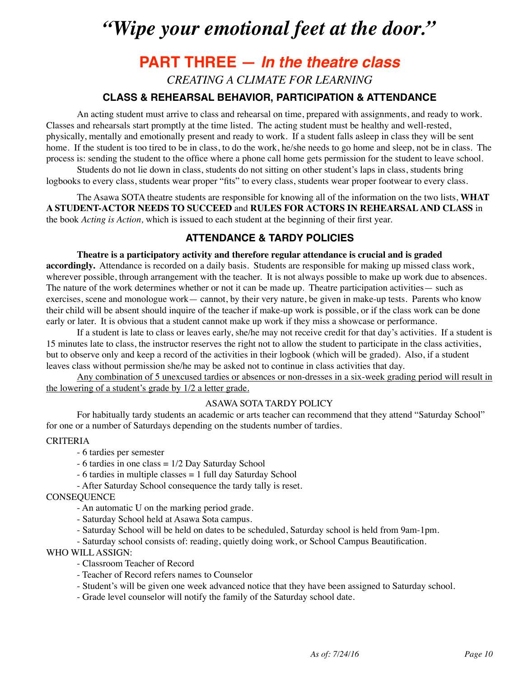# *"Wipe your emotional feet at the door."*

# **PART THREE —** *In the theatre class*

*CREATING A CLIMATE FOR LEARNING*

### **CLASS & REHEARSAL BEHAVIOR, PARTICIPATION & ATTENDANCE**

An acting student must arrive to class and rehearsal on time, prepared with assignments, and ready to work. Classes and rehearsals start promptly at the time listed. The acting student must be healthy and well-rested, physically, mentally and emotionally present and ready to work. If a student falls asleep in class they will be sent home. If the student is too tired to be in class, to do the work, he/she needs to go home and sleep, not be in class. The process is: sending the student to the office where a phone call home gets permission for the student to leave school.

Students do not lie down in class, students do not sitting on other student's laps in class, students bring logbooks to every class, students wear proper "fits" to every class, students wear proper footwear to every class.

The Asawa SOTA theatre students are responsible for knowing all of the information on the two lists, **WHAT A STUDENT-ACTOR NEEDS TO SUCCEED** and **RULES FOR ACTORS IN REHEARSAL AND CLASS** in the book *Acting is Action,* which is issued to each student at the beginning of their first year.

### **ATTENDANCE & TARDY POLICIES**

#### **Theatre is a participatory activity and therefore regular attendance is crucial and is graded**

**accordingly.** Attendance is recorded on a daily basis. Students are responsible for making up missed class work, wherever possible, through arrangement with the teacher. It is not always possible to make up work due to absences. The nature of the work determines whether or not it can be made up. Theatre participation activities— such as exercises, scene and monologue work— cannot, by their very nature, be given in make-up tests. Parents who know their child will be absent should inquire of the teacher if make-up work is possible, or if the class work can be done early or later. It is obvious that a student cannot make up work if they miss a showcase or performance.

If a student is late to class or leaves early, she/he may not receive credit for that day's activities. If a student is 15 minutes late to class, the instructor reserves the right not to allow the student to participate in the class activities, but to observe only and keep a record of the activities in their logbook (which will be graded). Also, if a student leaves class without permission she/he may be asked not to continue in class activities that day.

Any combination of 5 unexcused tardies or absences or non-dresses in a six-week grading period will result in the lowering of a student's grade by 1/2 a letter grade.

#### ASAWA SOTA TARDY POLICY

For habitually tardy students an academic or arts teacher can recommend that they attend "Saturday School" for one or a number of Saturdays depending on the students number of tardies.

#### **CRITERIA**

- 6 tardies per semester
- 6 tardies in one class = 1/2 Day Saturday School
- 6 tardies in multiple classes = 1 full day Saturday School
- After Saturday School consequence the tardy tally is reset.

#### **CONSEQUENCE**

- An automatic U on the marking period grade.
- Saturday School held at Asawa Sota campus.
- Saturday School will be held on dates to be scheduled, Saturday school is held from 9am-1pm.
- Saturday school consists of: reading, quietly doing work, or School Campus Beautification.

#### WHO WILL ASSIGN:

- Classroom Teacher of Record
- Teacher of Record refers names to Counselor
- Student's will be given one week advanced notice that they have been assigned to Saturday school.
- Grade level counselor will notify the family of the Saturday school date.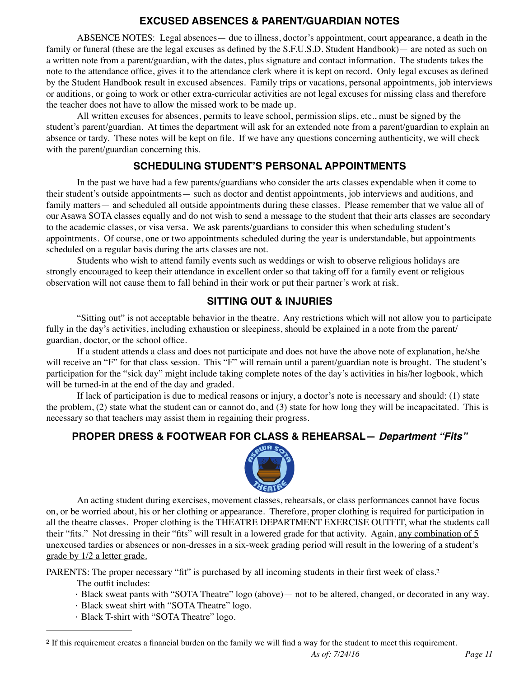### **EXCUSED ABSENCES & PARENT/GUARDIAN NOTES**

ABSENCE NOTES: Legal absences— due to illness, doctor's appointment, court appearance, a death in the family or funeral (these are the legal excuses as defined by the S.F.U.S.D. Student Handbook)— are noted as such on a written note from a parent/guardian, with the dates, plus signature and contact information. The students takes the note to the attendance office, gives it to the attendance clerk where it is kept on record. Only legal excuses as defined by the Student Handbook result in excused absences. Family trips or vacations, personal appointments, job interviews or auditions, or going to work or other extra-curricular activities are not legal excuses for missing class and therefore the teacher does not have to allow the missed work to be made up.

All written excuses for absences, permits to leave school, permission slips, etc., must be signed by the student's parent/guardian. At times the department will ask for an extended note from a parent/guardian to explain an absence or tardy. These notes will be kept on file. If we have any questions concerning authenticity, we will check with the parent/guardian concerning this.

### **SCHEDULING STUDENT'S PERSONAL APPOINTMENTS**

In the past we have had a few parents/guardians who consider the arts classes expendable when it come to their student's outside appointments— such as doctor and dentist appointments, job interviews and auditions, and family matters— and scheduled all outside appointments during these classes. Please remember that we value all of our Asawa SOTA classes equally and do not wish to send a message to the student that their arts classes are secondary to the academic classes, or visa versa. We ask parents/guardians to consider this when scheduling student's appointments. Of course, one or two appointments scheduled during the year is understandable, but appointments scheduled on a regular basis during the arts classes are not.

Students who wish to attend family events such as weddings or wish to observe religious holidays are strongly encouraged to keep their attendance in excellent order so that taking off for a family event or religious observation will not cause them to fall behind in their work or put their partner's work at risk.

### **SITTING OUT & INJURIES**

"Sitting out" is not acceptable behavior in the theatre. Any restrictions which will not allow you to participate fully in the day's activities, including exhaustion or sleepiness, should be explained in a note from the parent/ guardian, doctor, or the school office.

If a student attends a class and does not participate and does not have the above note of explanation, he/she will receive an "F" for that class session. This "F" will remain until a parent/guardian note is brought. The student's participation for the "sick day" might include taking complete notes of the day's activities in his/her logbook, which will be turned-in at the end of the day and graded.

If lack of participation is due to medical reasons or injury, a doctor's note is necessary and should: (1) state the problem, (2) state what the student can or cannot do, and (3) state for how long they will be incapacitated. This is necessary so that teachers may assist them in regaining their progress.

### **PROPER DRESS & FOOTWEAR FOR CLASS & REHEARSAL—** *Department "Fits"*

<span id="page-10-1"></span>

An acting student during exercises, movement classes, rehearsals, or class performances cannot have focus on, or be worried about, his or her clothing or appearance. Therefore, proper clothing is required for participation in all the theatre classes. Proper clothing is the THEATRE DEPARTMENT EXERCISE OUTFIT, what the students call their "fits." Not dressing in their "fits" will result in a lowered grade for that activity. Again, any combination of 5 unexcused tardies or absences or non-dresses in a six-week grading period will result in the lowering of a student's grade by 1/2 a letter grade.

PARENTS: The proper necessary "fit" is purchased by all incoming students in their first week of class[.2](#page-10-0)

The outfit includes:

- · Black sweat pants with "SOTA Theatre" logo (above)— not to be altered, changed, or decorated in any way.
- · Black sweat shirt with "SOTA Theatre" logo.
- · Black T-shirt with "SOTA Theatre" logo.

<span id="page-10-0"></span>If this requirement creates a financial burden on the family we will find a way for the student to meet this requirement. [2](#page-10-1)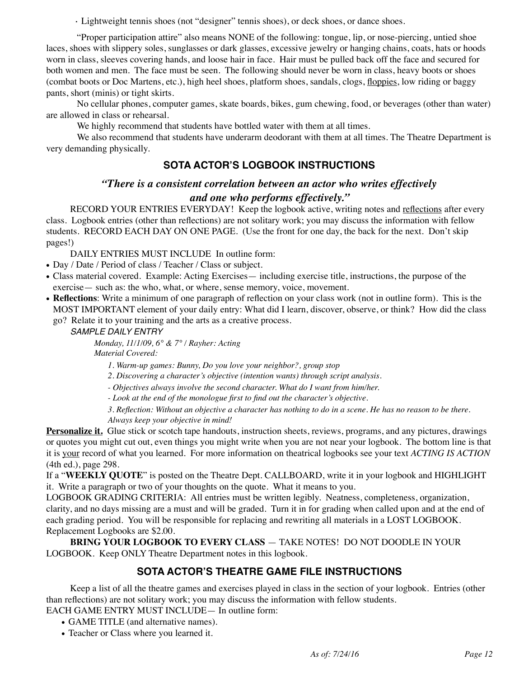· Lightweight tennis shoes (not "designer" tennis shoes), or deck shoes, or dance shoes.

"Proper participation attire" also means NONE of the following: tongue, lip, or nose-piercing, untied shoe laces, shoes with slippery soles, sunglasses or dark glasses, excessive jewelry or hanging chains, coats, hats or hoods worn in class, sleeves covering hands, and loose hair in face. Hair must be pulled back off the face and secured for both women and men. The face must be seen. The following should never be worn in class, heavy boots or shoes (combat boots or Doc Martens, etc.), high heel shoes, platform shoes, sandals, clogs, floppies, low riding or baggy pants, short (minis) or tight skirts.

No cellular phones, computer games, skate boards, bikes, gum chewing, food, or beverages (other than water) are allowed in class or rehearsal.

We highly recommend that students have bottled water with them at all times.

We also recommend that students have underarm deodorant with them at all times. The Theatre Department is very demanding physically.

### **SOTA ACTOR'S LOGBOOK INSTRUCTIONS**

### *"There is a consistent correlation between an actor who writes effectively and one who performs effectively."*

RECORD YOUR ENTRIES EVERYDAY! Keep the logbook active, writing notes and reflections after every class. Logbook entries (other than reflections) are not solitary work; you may discuss the information with fellow students. RECORD EACH DAY ON ONE PAGE. (Use the front for one day, the back for the next. Don't skip pages!)

DAILY ENTRIES MUST INCLUDE In outline form:

- Day / Date / Period of class / Teacher / Class or subject.
- Class material covered. Example: Acting Exercises— including exercise title, instructions, the purpose of the exercise— such as: the who, what, or where, sense memory, voice, movement.
- **Reflections**: Write a minimum of one paragraph of reflection on your class work (not in outline form). This is the MOST IMPORTANT element of your daily entry: What did I learn, discover, observe, or think? How did the class
	- go? Relate it to your training and the arts as a creative process.

#### *SAMPLE DAILY ENTRY*

*Monday, 11/1/09, 6° & 7° / Rayher: Acting Material Covered:* 

*1. Warm-up games: Bunny, Do you love your neighbor?, group stop*

*2. Discovering a character's objective (intention wants) through script analysis.*

*- Objectives always involve the second character. What do I want from him/her.*

*- Look at the end of the monologue first to find out the character's objective.*

*3. Reflection: Without an objective a character has nothing to do in a scene. He has no reason to be there. Always keep your objective in mind!*

**Personalize it.** Glue stick or scotch tape handouts, instruction sheets, reviews, programs, and any pictures, drawings or quotes you might cut out, even things you might write when you are not near your logbook. The bottom line is that it is your record of what you learned. For more information on theatrical logbooks see your text *ACTING IS ACTION* (4th ed.), page 298.

If a "**WEEKLY QUOTE**" is posted on the Theatre Dept. CALLBOARD, write it in your logbook and HIGHLIGHT it. Write a paragraph or two of your thoughts on the quote. What it means to you.

LOGBOOK GRADING CRITERIA: All entries must be written legibly. Neatness, completeness, organization, clarity, and no days missing are a must and will be graded. Turn it in for grading when called upon and at the end of each grading period. You will be responsible for replacing and rewriting all materials in a LOST LOGBOOK. Replacement Logbooks are \$2.00.

**BRING YOUR LOGBOOK TO EVERY CLASS** — TAKE NOTES! DO NOT DOODLE IN YOUR LOGBOOK. Keep ONLY Theatre Department notes in this logbook.

### **SOTA ACTOR'S THEATRE GAME FILE INSTRUCTIONS**

Keep a list of all the theatre games and exercises played in class in the section of your logbook. Entries (other than reflections) are not solitary work; you may discuss the information with fellow students.

EACH GAME ENTRY MUST INCLUDE— In outline form:

- GAME TITLE (and alternative names).
- Teacher or Class where you learned it.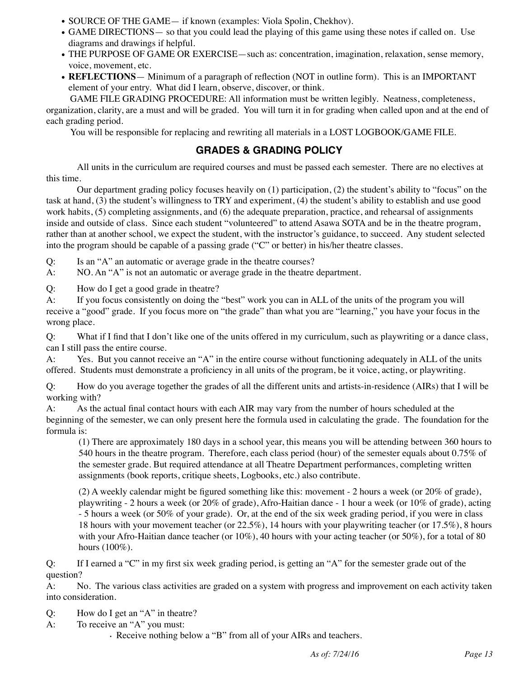- SOURCE OF THE GAME— if known (examples: Viola Spolin, Chekhov).
- GAME DIRECTIONS— so that you could lead the playing of this game using these notes if called on. Use diagrams and drawings if helpful.
- THE PURPOSE OF GAME OR EXERCISE—such as: concentration, imagination, relaxation, sense memory, voice, movement, etc.
- **REFLECTIONS** Minimum of a paragraph of reflection (NOT in outline form). This is an IMPORTANT element of your entry. What did I learn, observe, discover, or think.

GAME FILE GRADING PROCEDURE: All information must be written legibly. Neatness, completeness, organization, clarity, are a must and will be graded. You will turn it in for grading when called upon and at the end of each grading period.

You will be responsible for replacing and rewriting all materials in a LOST LOGBOOK/GAME FILE.

### **GRADES & GRADING POLICY**

All units in the curriculum are required courses and must be passed each semester. There are no electives at this time.

Our department grading policy focuses heavily on (1) participation, (2) the student's ability to "focus" on the task at hand, (3) the student's willingness to TRY and experiment, (4) the student's ability to establish and use good work habits, (5) completing assignments, and (6) the adequate preparation, practice, and rehearsal of assignments inside and outside of class. Since each student "volunteered" to attend Asawa SOTA and be in the theatre program, rather than at another school, we expect the student, with the instructor's guidance, to succeed. Any student selected into the program should be capable of a passing grade ("C" or better) in his/her theatre classes.

Q: Is an "A" an automatic or average grade in the theatre courses?

A: NO. An "A" is not an automatic or average grade in the theatre department.

Q: How do I get a good grade in theatre?

A: If you focus consistently on doing the "best" work you can in ALL of the units of the program you will receive a "good" grade. If you focus more on "the grade" than what you are "learning," you have your focus in the wrong place.

Q: What if I find that I don't like one of the units offered in my curriculum, such as playwriting or a dance class, can I still pass the entire course.

A: Yes. But you cannot receive an "A" in the entire course without functioning adequately in ALL of the units offered. Students must demonstrate a proficiency in all units of the program, be it voice, acting, or playwriting.

Q: How do you average together the grades of all the different units and artists-in-residence (AIRs) that I will be working with?

A: As the actual final contact hours with each AIR may vary from the number of hours scheduled at the beginning of the semester, we can only present here the formula used in calculating the grade. The foundation for the formula is:

(1) There are approximately 180 days in a school year, this means you will be attending between 360 hours to 540 hours in the theatre program. Therefore, each class period (hour) of the semester equals about 0.75% of the semester grade. But required attendance at all Theatre Department performances, completing written assignments (book reports, critique sheets, Logbooks, etc.) also contribute.

(2) A weekly calendar might be figured something like this: movement - 2 hours a week (or 20% of grade), playwriting - 2 hours a week (or 20% of grade), Afro-Haitian dance - 1 hour a week (or 10% of grade), acting - 5 hours a week (or 50% of your grade). Or, at the end of the six week grading period, if you were in class 18 hours with your movement teacher (or 22.5%), 14 hours with your playwriting teacher (or 17.5%), 8 hours with your Afro-Haitian dance teacher (or 10%), 40 hours with your acting teacher (or 50%), for a total of 80 hours (100%).

Q: If I earned a "C" in my first six week grading period, is getting an "A" for the semester grade out of the question?

A: No. The various class activities are graded on a system with progress and improvement on each activity taken into consideration.

- Q: How do I get an "A" in theatre?
- A: To receive an "A" you must:

· Receive nothing below a "B" from all of your AIRs and teachers.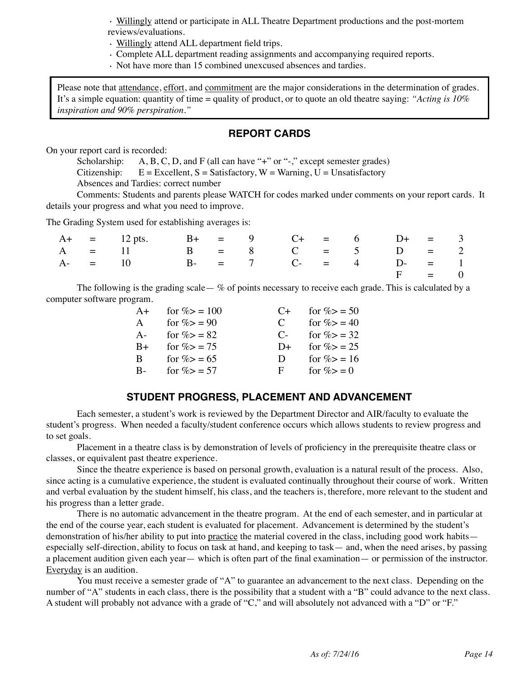· Willingly attend or participate in ALL Theatre Department productions and the post-mortem reviews/evaluations.

- · Willingly attend ALL department field trips.
- · Complete ALL department reading assignments and accompanying required reports.
- · Not have more than 15 combined unexcused absences and tardies.

Please note that attendance, effort, and commitment are the major considerations in the determination of grades. It's a simple equation: quantity of time = quality of product, or to quote an old theatre saying: *"Acting is 10% inspiration and 90% perspiration."*

#### **REPORT CARDS**

On your report card is recorded:

Scholarship: A, B, C, D, and F (all can have "+" or "-," except semester grades) Citizenship:  $E = Excellent$ ,  $S = Satisfactory$ ,  $W = Warning$ ,  $U = Unsatisfactory$ Absences and Tardies: correct number

Comments: Students and parents please WATCH for codes marked under comments on your report cards. It details your progress and what you need to improve.

The Grading System used for establishing averages is:

|  | $A+$ = 12 pts. B+ = 9 C+ = 6 D+ = 3 |  |  |  |         |  |
|--|-------------------------------------|--|--|--|---------|--|
|  | $A = 11$ $B = 8$ $C = 5$ $D = 2$    |  |  |  |         |  |
|  | A- = 10 B- = 7 C- = 4 D- = 1        |  |  |  |         |  |
|  |                                     |  |  |  | $F = 0$ |  |

The following is the grading scale—  $\%$  of points necessary to receive each grade. This is calculated by a computer software program.

| $A+$ | for $\% > 100$ | $($ +         | for $\% > 50$ |
|------|----------------|---------------|---------------|
| A    | for $\% > 90$  | $\mathcal{C}$ | for $\% > 40$ |
| $A-$ | for $\% > 82$  | $\mathbf{C}$  | for $\% > 32$ |
| $B+$ | for $\% > 75$  | $D+$          | for $\% > 25$ |
| B.   | for $\% > 65$  | D.            | for $\% > 16$ |
| $B-$ | for $\% > 57$  | F             | for $\%>=0$   |

### **STUDENT PROGRESS, PLACEMENT AND ADVANCEMENT**

Each semester, a student's work is reviewed by the Department Director and AIR/faculty to evaluate the student's progress. When needed a faculty/student conference occurs which allows students to review progress and to set goals.

Placement in a theatre class is by demonstration of levels of proficiency in the prerequisite theatre class or classes, or equivalent past theatre experience.

Since the theatre experience is based on personal growth, evaluation is a natural result of the process. Also, since acting is a cumulative experience, the student is evaluated continually throughout their course of work. Written and verbal evaluation by the student himself, his class, and the teachers is, therefore, more relevant to the student and his progress than a letter grade.

There is no automatic advancement in the theatre program. At the end of each semester, and in particular at the end of the course year, each student is evaluated for placement. Advancement is determined by the student's demonstration of his/her ability to put into practice the material covered in the class, including good work habits especially self-direction, ability to focus on task at hand, and keeping to task— and, when the need arises, by passing a placement audition given each year— which is often part of the final examination— or permission of the instructor. Everyday is an audition.

You must receive a semester grade of "A" to guarantee an advancement to the next class. Depending on the number of "A" students in each class, there is the possibility that a student with a "B" could advance to the next class. A student will probably not advance with a grade of "C," and will absolutely not advanced with a "D" or "F."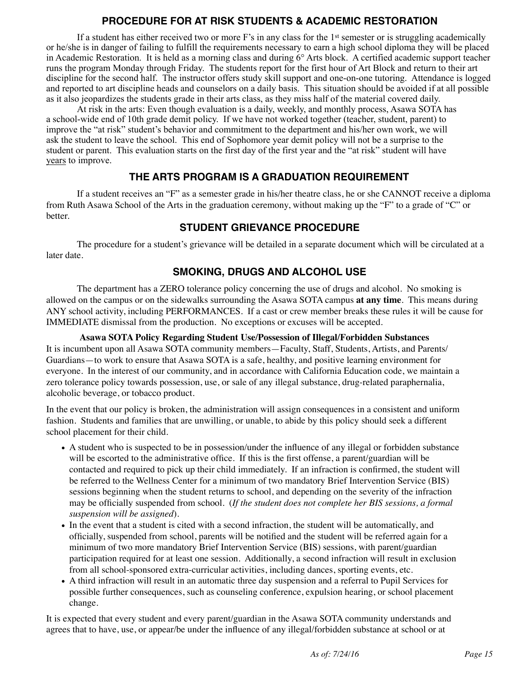### **PROCEDURE FOR AT RISK STUDENTS & ACADEMIC RESTORATION**

If a student has either received two or more F's in any class for the 1st semester or is struggling academically or he/she is in danger of failing to fulfill the requirements necessary to earn a high school diploma they will be placed in Academic Restoration. It is held as a morning class and during 6° Arts block. A certified academic support teacher runs the program Monday through Friday. The students report for the first hour of Art Block and return to their art discipline for the second half. The instructor offers study skill support and one-on-one tutoring. Attendance is logged and reported to art discipline heads and counselors on a daily basis. This situation should be avoided if at all possible as it also jeopardizes the students grade in their arts class, as they miss half of the material covered daily.

 At risk in the arts: Even though evaluation is a daily, weekly, and monthly process, Asawa SOTA has a school-wide end of 10th grade demit policy. If we have not worked together (teacher, student, parent) to improve the "at risk" student's behavior and commitment to the department and his/her own work, we will ask the student to leave the school. This end of Sophomore year demit policy will not be a surprise to the student or parent. This evaluation starts on the first day of the first year and the "at risk" student will have years to improve.

### **THE ARTS PROGRAM IS A GRADUATION REQUIREMENT**

If a student receives an "F" as a semester grade in his/her theatre class, he or she CANNOT receive a diploma from Ruth Asawa School of the Arts in the graduation ceremony, without making up the "F" to a grade of "C" or better.

### **STUDENT GRIEVANCE PROCEDURE**

The procedure for a student's grievance will be detailed in a separate document which will be circulated at a later date.

### **SMOKING, DRUGS AND ALCOHOL USE**

The department has a ZERO tolerance policy concerning the use of drugs and alcohol. No smoking is allowed on the campus or on the sidewalks surrounding the Asawa SOTA campus **at any time**. This means during ANY school activity, including PERFORMANCES. If a cast or crew member breaks these rules it will be cause for IMMEDIATE dismissal from the production. No exceptions or excuses will be accepted.

#### **Asawa SOTA Policy Regarding Student Use/Possession of Illegal/Forbidden Substances** It is incumbent upon all Asawa SOTA community members—Faculty, Staff, Students, Artists, and Parents/ Guardians—to work to ensure that Asawa SOTA is a safe, healthy, and positive learning environment for everyone. In the interest of our community, and in accordance with California Education code, we maintain a zero tolerance policy towards possession, use, or sale of any illegal substance, drug-related paraphernalia, alcoholic beverage, or tobacco product.

In the event that our policy is broken, the administration will assign consequences in a consistent and uniform fashion. Students and families that are unwilling, or unable, to abide by this policy should seek a different school placement for their child.

- A student who is suspected to be in possession/under the influence of any illegal or forbidden substance will be escorted to the administrative office. If this is the first offense, a parent/guardian will be contacted and required to pick up their child immediately. If an infraction is confirmed, the student will be referred to the Wellness Center for a minimum of two mandatory Brief Intervention Service (BIS) sessions beginning when the student returns to school, and depending on the severity of the infraction may be officially suspended from school. (*If the student does not complete her BIS sessions, a formal suspension will be assigned*).
- In the event that a student is cited with a second infraction, the student will be automatically, and officially, suspended from school, parents will be notified and the student will be referred again for a minimum of two more mandatory Brief Intervention Service (BIS) sessions, with parent/guardian participation required for at least one session. Additionally, a second infraction will result in exclusion from all school-sponsored extra-curricular activities, including dances, sporting events, etc.
- A third infraction will result in an automatic three day suspension and a referral to Pupil Services for possible further consequences, such as counseling conference, expulsion hearing, or school placement change.

It is expected that every student and every parent/guardian in the Asawa SOTA community understands and agrees that to have, use, or appear/be under the influence of any illegal/forbidden substance at school or at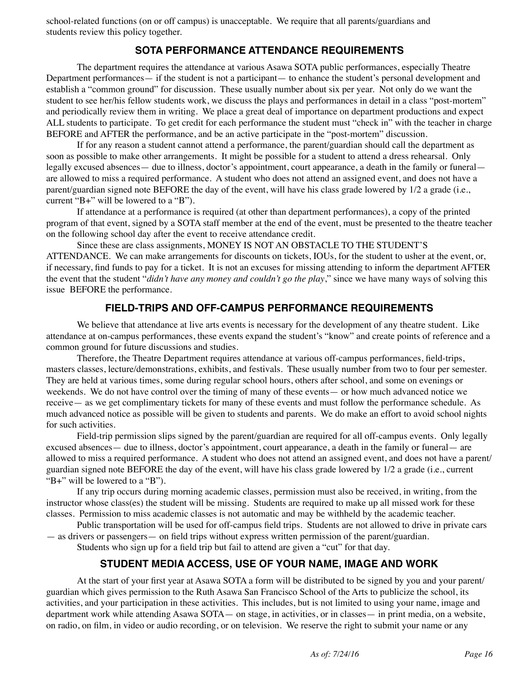school-related functions (on or off campus) is unacceptable. We require that all parents/guardians and students review this policy together.

### **SOTA PERFORMANCE ATTENDANCE REQUIREMENTS**

The department requires the attendance at various Asawa SOTA public performances, especially Theatre Department performances— if the student is not a participant— to enhance the student's personal development and establish a "common ground" for discussion. These usually number about six per year. Not only do we want the student to see her/his fellow students work, we discuss the plays and performances in detail in a class "post-mortem" and periodically review them in writing. We place a great deal of importance on department productions and expect ALL students to participate. To get credit for each performance the student must "check in" with the teacher in charge BEFORE and AFTER the performance, and be an active participate in the "post-mortem" discussion.

If for any reason a student cannot attend a performance, the parent/guardian should call the department as soon as possible to make other arrangements. It might be possible for a student to attend a dress rehearsal. Only legally excused absences— due to illness, doctor's appointment, court appearance, a death in the family or funeral are allowed to miss a required performance. A student who does not attend an assigned event, and does not have a parent/guardian signed note BEFORE the day of the event, will have his class grade lowered by 1/2 a grade (i.e., current "B+" will be lowered to a "B").

If attendance at a performance is required (at other than department performances), a copy of the printed program of that event, signed by a SOTA staff member at the end of the event, must be presented to the theatre teacher on the following school day after the event to receive attendance credit.

Since these are class assignments, MONEY IS NOT AN OBSTACLE TO THE STUDENT'S ATTENDANCE. We can make arrangements for discounts on tickets, IOUs, for the student to usher at the event, or, if necessary, find funds to pay for a ticket. It is not an excuses for missing attending to inform the department AFTER the event that the student "*didn't have any money and couldn't go the play*," since we have many ways of solving this issue BEFORE the performance.

### **FIELD-TRIPS AND OFF-CAMPUS PERFORMANCE REQUIREMENTS**

We believe that attendance at live arts events is necessary for the development of any theatre student. Like attendance at on-campus performances, these events expand the student's "know" and create points of reference and a common ground for future discussions and studies.

Therefore, the Theatre Department requires attendance at various off-campus performances, field-trips, masters classes, lecture/demonstrations, exhibits, and festivals. These usually number from two to four per semester. They are held at various times, some during regular school hours, others after school, and some on evenings or weekends. We do not have control over the timing of many of these events— or how much advanced notice we receive— as we get complimentary tickets for many of these events and must follow the performance schedule. As much advanced notice as possible will be given to students and parents. We do make an effort to avoid school nights for such activities.

Field-trip permission slips signed by the parent/guardian are required for all off-campus events. Only legally excused absences— due to illness, doctor's appointment, court appearance, a death in the family or funeral— are allowed to miss a required performance. A student who does not attend an assigned event, and does not have a parent/ guardian signed note BEFORE the day of the event, will have his class grade lowered by 1/2 a grade (i.e., current "B+" will be lowered to a "B").

If any trip occurs during morning academic classes, permission must also be received, in writing, from the instructor whose class(es) the student will be missing. Students are required to make up all missed work for these classes. Permission to miss academic classes is not automatic and may be withheld by the academic teacher.

Public transportation will be used for off-campus field trips. Students are not allowed to drive in private cars — as drivers or passengers— on field trips without express written permission of the parent/guardian. Students who sign up for a field trip but fail to attend are given a "cut" for that day.

### **STUDENT MEDIA ACCESS, USE OF YOUR NAME, IMAGE AND WORK**

At the start of your first year at Asawa SOTA a form will be distributed to be signed by you and your parent/ guardian which gives permission to the Ruth Asawa San Francisco School of the Arts to publicize the school, its activities, and your participation in these activities. This includes, but is not limited to using your name, image and department work while attending Asawa SOTA— on stage, in activities, or in classes— in print media, on a website, on radio, on film, in video or audio recording, or on television. We reserve the right to submit your name or any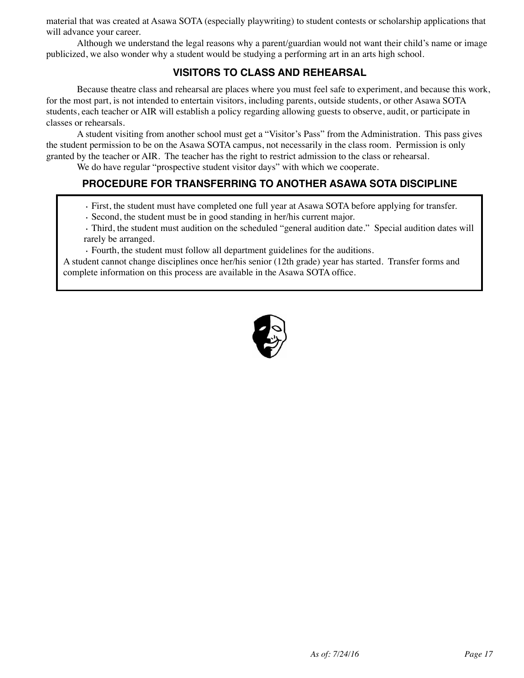material that was created at Asawa SOTA (especially playwriting) to student contests or scholarship applications that will advance your career.

Although we understand the legal reasons why a parent/guardian would not want their child's name or image publicized, we also wonder why a student would be studying a performing art in an arts high school.

### **VISITORS TO CLASS AND REHEARSAL**

Because theatre class and rehearsal are places where you must feel safe to experiment, and because this work, for the most part, is not intended to entertain visitors, including parents, outside students, or other Asawa SOTA students, each teacher or AIR will establish a policy regarding allowing guests to observe, audit, or participate in classes or rehearsals.

A student visiting from another school must get a "Visitor's Pass" from the Administration. This pass gives the student permission to be on the Asawa SOTA campus, not necessarily in the class room. Permission is only granted by the teacher or AIR. The teacher has the right to restrict admission to the class or rehearsal.

We do have regular "prospective student visitor days" with which we cooperate.

### **PROCEDURE FOR TRANSFERRING TO ANOTHER ASAWA SOTA DISCIPLINE**

- · First, the student must have completed one full year at Asawa SOTA before applying for transfer.
- · Second, the student must be in good standing in her/his current major.
- · Third, the student must audition on the scheduled "general audition date." Special audition dates will rarely be arranged.

· Fourth, the student must follow all department guidelines for the auditions.

A student cannot change disciplines once her/his senior (12th grade) year has started. Transfer forms and complete information on this process are available in the Asawa SOTA office.

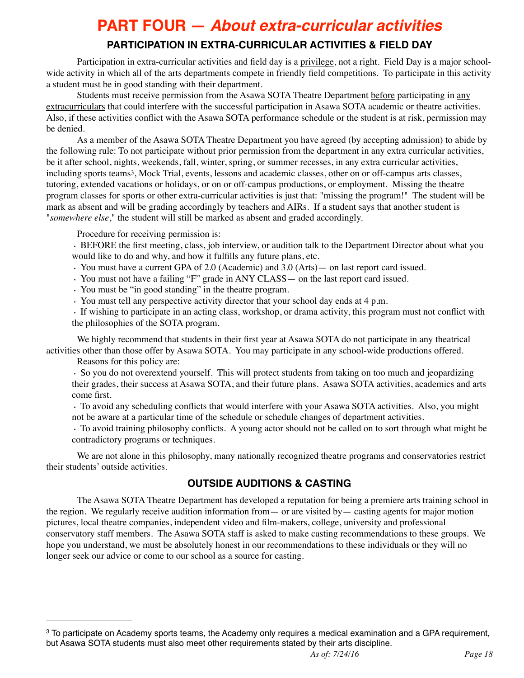## **PART FOUR —** *About extra-curricular activities*

### **PARTICIPATION IN EXTRA-CURRICULAR ACTIVITIES & FIELD DAY**

Participation in extra-curricular activities and field day is a privilege, not a right. Field Day is a major schoolwide activity in which all of the arts departments compete in friendly field competitions. To participate in this activity a student must be in good standing with their department.

Students must receive permission from the Asawa SOTA Theatre Department before participating in any extracurriculars that could interfere with the successful participation in Asawa SOTA academic or theatre activities. Also, if these activities conflict with the Asawa SOTA performance schedule or the student is at risk, permission may be denied.

As a member of the Asawa SOTA Theatre Department you have agreed (by accepting admission) to abide by the following rule: To not participate without prior permission from the department in any extra curricular activities, be it after school, nights, weekends, fall, winter, spring, or summer recesses, in any extra curricular activities, including sports teams<sup>3</sup>[,](#page-17-0) Mock Trial, events, lessons and academic classes, other on or off-campus arts classes, tutoring, extended vacations or holidays, or on or off-campus productions, or employment. Missing the theatre program classes for sports or other extra-curricular activities is just that: "missing the program!" The student will be mark as absent and will be grading accordingly by teachers and AIRs. If a student says that another student is "*somewhere else*," the student will still be marked as absent and graded accordingly.

<span id="page-17-1"></span>Procedure for receiving permission is:

· BEFORE the first meeting, class, job interview, or audition talk to the Department Director about what you would like to do and why, and how it fulfills any future plans, etc.

- · You must have a current GPA of 2.0 (Academic) and 3.0 (Arts)— on last report card issued.
- · You must not have a failing "F" grade in ANY CLASS— on the last report card issued.
- · You must be "in good standing" in the theatre program.
- · You must tell any perspective activity director that your school day ends at 4 p.m.

· If wishing to participate in an acting class, workshop, or drama activity, this program must not conflict with the philosophies of the SOTA program.

We highly recommend that students in their first year at Asawa SOTA do not participate in any theatrical activities other than those offer by Asawa SOTA. You may participate in any school-wide productions offered.

Reasons for this policy are: · So you do not overextend yourself. This will protect students from taking on too much and jeopardizing

their grades, their success at Asawa SOTA, and their future plans. Asawa SOTA activities, academics and arts come first.

· To avoid any scheduling conflicts that would interfere with your Asawa SOTA activities. Also, you might not be aware at a particular time of the schedule or schedule changes of department activities.

· To avoid training philosophy conflicts. A young actor should not be called on to sort through what might be contradictory programs or techniques.

We are not alone in this philosophy, many nationally recognized theatre programs and conservatories restrict their students' outside activities.

### **OUTSIDE AUDITIONS & CASTING**

The Asawa SOTA Theatre Department has developed a reputation for being a premiere arts training school in the region. We regularly receive audition information from— or are visited by— casting agents for major motion pictures, local theatre companies, independent video and film-makers, college, university and professional conservatory staff members. The Asawa SOTA staff is asked to make casting recommendations to these groups. We hope you understand, we must be absolutely honest in our recommendations to these individuals or they will no longer seek our advice or come to our school as a source for casting.

<span id="page-17-0"></span><sup>&</sup>lt;sup>3</sup>To participate on Academy sports teams, the Academy only requires a medical examination and a GPA requirement, but Asawa SOTA students must also meet other requirements stated by their arts discipline.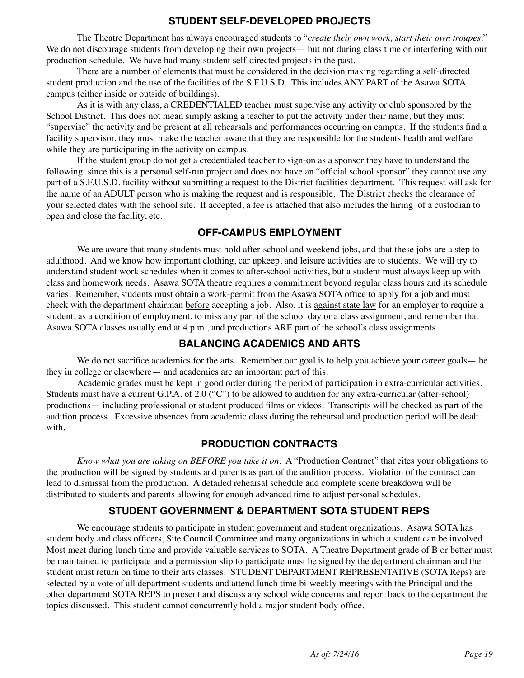### **STUDENT SELF-DEVELOPED PROJECTS**

The Theatre Department has always encouraged students to "*create their own work, start their own troupes*." We do not discourage students from developing their own projects— but not during class time or interfering with our production schedule. We have had many student self-directed projects in the past.

There are a number of elements that must be considered in the decision making regarding a self-directed student production and the use of the facilities of the S.F.U.S.D. This includes ANY PART of the Asawa SOTA campus (either inside or outside of buildings).

As it is with any class, a CREDENTIALED teacher must supervise any activity or club sponsored by the School District. This does not mean simply asking a teacher to put the activity under their name, but they must "supervise" the activity and be present at all rehearsals and performances occurring on campus. If the students find a facility supervisor, they must make the teacher aware that they are responsible for the students health and welfare while they are participating in the activity on campus.

If the student group do not get a credentialed teacher to sign-on as a sponsor they have to understand the following: since this is a personal self-run project and does not have an "official school sponsor" they cannot use any part of a S.F.U.S.D. facility without submitting a request to the District facilities department. This request will ask for the name of an ADULT person who is making the request and is responsible. The District checks the clearance of your selected dates with the school site. If accepted, a fee is attached that also includes the hiring of a custodian to open and close the facility, etc.

### **OFF-CAMPUS EMPLOYMENT**

We are aware that many students must hold after-school and weekend jobs, and that these jobs are a step to adulthood. And we know how important clothing, car upkeep, and leisure activities are to students. We will try to understand student work schedules when it comes to after-school activities, but a student must always keep up with class and homework needs. Asawa SOTA theatre requires a commitment beyond regular class hours and its schedule varies. Remember, students must obtain a work-permit from the Asawa SOTA office to apply for a job and must check with the department chairman before accepting a job. Also, it is against state law for an employer to require a student, as a condition of employment, to miss any part of the school day or a class assignment, and remember that Asawa SOTA classes usually end at 4 p.m., and productions ARE part of the school's class assignments.

### **BALANCING ACADEMICS AND ARTS**

We do not sacrifice academics for the arts. Remember our goal is to help you achieve your career goals— be they in college or elsewhere— and academics are an important part of this.

Academic grades must be kept in good order during the period of participation in extra-curricular activities. Students must have a current G.P.A. of 2.0 ("C") to be allowed to audition for any extra-curricular (after-school) productions— including professional or student produced films or videos. Transcripts will be checked as part of the audition process. Excessive absences from academic class during the rehearsal and production period will be dealt with.

### **PRODUCTION CONTRACTS**

*Know what you are taking on BEFORE you take it on.* A "Production Contract" that cites your obligations to the production will be signed by students and parents as part of the audition process. Violation of the contract can lead to dismissal from the production. A detailed rehearsal schedule and complete scene breakdown will be distributed to students and parents allowing for enough advanced time to adjust personal schedules.

### **STUDENT GOVERNMENT & DEPARTMENT SOTA STUDENT REPS**

We encourage students to participate in student government and student organizations. Asawa SOTA has student body and class officers, Site Council Committee and many organizations in which a student can be involved. Most meet during lunch time and provide valuable services to SOTA. A Theatre Department grade of B or better must be maintained to participate and a permission slip to participate must be signed by the department chairman and the student must return on time to their arts classes. STUDENT DEPARTMENT REPRESENTATIVE (SOTA Reps) are selected by a vote of all department students and attend lunch time bi-weekly meetings with the Principal and the other department SOTA REPS to present and discuss any school wide concerns and report back to the department the topics discussed. This student cannot concurrently hold a major student body office.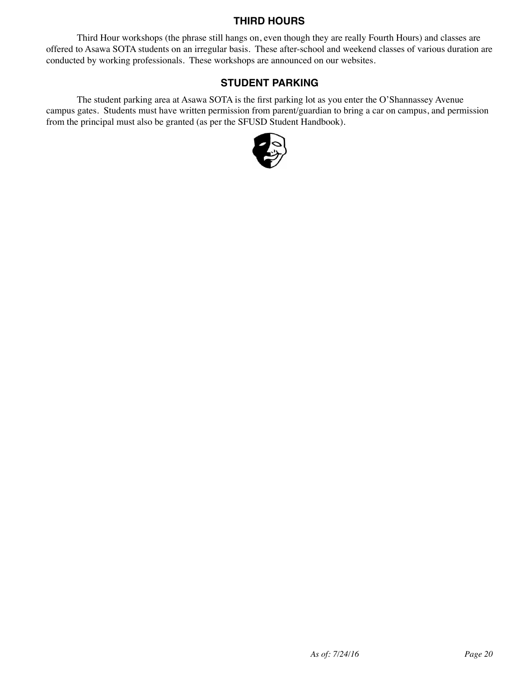### **THIRD HOURS**

Third Hour workshops (the phrase still hangs on, even though they are really Fourth Hours) and classes are offered to Asawa SOTA students on an irregular basis. These after-school and weekend classes of various duration are conducted by working professionals. These workshops are announced on our websites.

### **STUDENT PARKING**

The student parking area at Asawa SOTA is the first parking lot as you enter the O'Shannassey Avenue campus gates. Students must have written permission from parent/guardian to bring a car on campus, and permission from the principal must also be granted (as per the SFUSD Student Handbook).

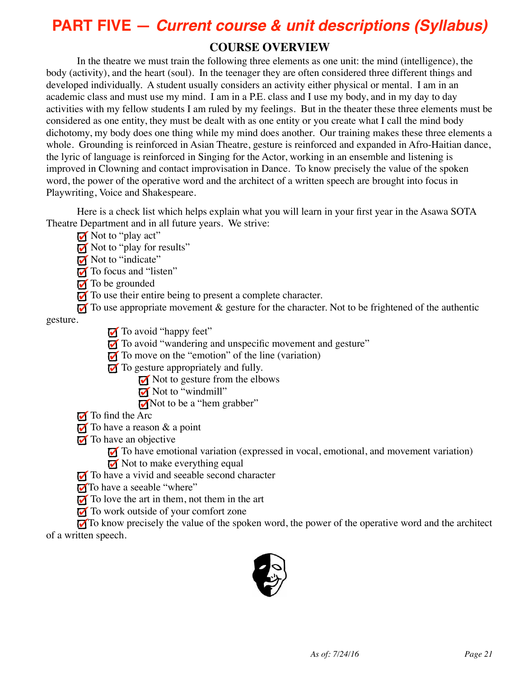# **PART FIVE —** *Current course & unit descriptions (Syllabus)*

### **COURSE OVERVIEW**

In the theatre we must train the following three elements as one unit: the mind (intelligence), the body (activity), and the heart (soul). In the teenager they are often considered three different things and developed individually. A student usually considers an activity either physical or mental. I am in an academic class and must use my mind. I am in a P.E. class and I use my body, and in my day to day activities with my fellow students I am ruled by my feelings. But in the theater these three elements must be considered as one entity, they must be dealt with as one entity or you create what I call the mind body dichotomy, my body does one thing while my mind does another. Our training makes these three elements a whole. Grounding is reinforced in Asian Theatre, gesture is reinforced and expanded in Afro-Haitian dance, the lyric of language is reinforced in Singing for the Actor, working in an ensemble and listening is improved in Clowning and contact improvisation in Dance. To know precisely the value of the spoken word, the power of the operative word and the architect of a written speech are brought into focus in Playwriting, Voice and Shakespeare.

Here is a check list which helps explain what you will learn in your first year in the Asawa SOTA Theatre Department and in all future years. We strive:

- $\blacksquare$  Not to "play act"
- Not to "play for results"
- Not to "indicate"
- To focus and "listen"
- $\sqrt{\ }$  To be grounded
- $\blacksquare$  To use their entire being to present a complete character.
- $\overline{M}$  To use appropriate movement  $\&$  gesture for the character. Not to be frightened of the authentic

gesture.

- To avoid "happy feet"
- To avoid "wandering and unspecific movement and gesture"
- $\overline{M}$  To move on the "emotion" of the line (variation)
- $\overline{M}$  To gesture appropriately and fully.
	- $\overline{M}$  Not to gesture from the elbows
	- $\blacksquare$  Not to "windmill"
	- Not to be a "hem grabber"
- $\blacksquare$  To find the Arc
- $\overline{M}$  To have a reason & a point
- $\blacksquare$  To have an objective
	- To have emotional variation (expressed in vocal, emotional, and movement variation)
	- $\overline{M}$  Not to make everything equal
- To have a vivid and seeable second character
- To have a seeable "where"
- $\overline{M}$  To love the art in them, not them in the art
- $\overline{M}$  To work outside of your comfort zone

To know precisely the value of the spoken word, the power of the operative word and the architect of a written speech.

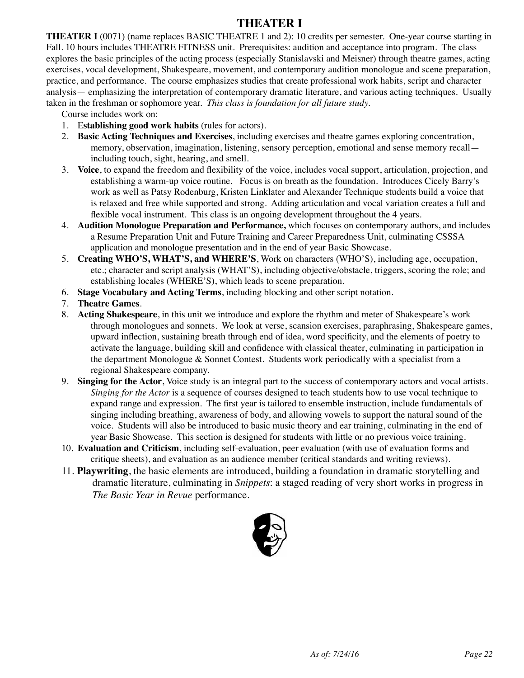### **THEATER I**

**THEATER I** (0071) (name replaces BASIC THEATRE 1 and 2): 10 credits per semester. One-year course starting in Fall. 10 hours includes THEATRE FITNESS unit. Prerequisites: audition and acceptance into program. The class explores the basic principles of the acting process (especially Stanislavski and Meisner) through theatre games, acting exercises, vocal development, Shakespeare, movement, and contemporary audition monologue and scene preparation, practice, and performance. The course emphasizes studies that create professional work habits, script and character analysis— emphasizing the interpretation of contemporary dramatic literature, and various acting techniques. Usually taken in the freshman or sophomore year. *This class is foundation for all future study.*

Course includes work on:

- 1. E**stablishing good work habits** (rules for actors).
- 2. **Basic Acting Techniques and Exercises**, including exercises and theatre games exploring concentration, memory, observation, imagination, listening, sensory perception, emotional and sense memory recall including touch, sight, hearing, and smell.
- 3. **Voice**, to expand the freedom and flexibility of the voice, includes vocal support, articulation, projection, and establishing a warm-up voice routine. Focus is on breath as the foundation. Introduces Cicely Barry's work as well as Patsy Rodenburg, Kristen Linklater and Alexander Technique students build a voice that is relaxed and free while supported and strong. Adding articulation and vocal variation creates a full and flexible vocal instrument. This class is an ongoing development throughout the 4 years.
- 4. **Audition Monologue Preparation and Performance,** which focuses on contemporary authors, and includes a Resume Preparation Unit and Future Training and Career Preparedness Unit, culminating CSSSA application and monologue presentation and in the end of year Basic Showcase.
- 5. **Creating WHO'S, WHAT'S, and WHERE'S**, Work on characters (WHO'S), including age, occupation, etc.; character and script analysis (WHAT'S), including objective/obstacle, triggers, scoring the role; and establishing locales (WHERE'S), which leads to scene preparation.
- 6. **Stage Vocabulary and Acting Terms**, including blocking and other script notation.
- 7. **Theatre Games**.
- 8. **Acting Shakespeare**, in this unit we introduce and explore the rhythm and meter of Shakespeare's work through monologues and sonnets. We look at verse, scansion exercises, paraphrasing, Shakespeare games, upward inflection, sustaining breath through end of idea, word specificity, and the elements of poetry to activate the language, building skill and confidence with classical theater, culminating in participation in the department Monologue & Sonnet Contest. Students work periodically with a specialist from a regional Shakespeare company.
- 9. **Singing for the Actor**, Voice study is an integral part to the success of contemporary actors and vocal artists. *Singing for the Actor* is a sequence of courses designed to teach students how to use vocal technique to expand range and expression. The first year is tailored to ensemble instruction, include fundamentals of singing including breathing, awareness of body, and allowing vowels to support the natural sound of the voice. Students will also be introduced to basic music theory and ear training, culminating in the end of year Basic Showcase. This section is designed for students with little or no previous voice training.
- 10. **Evaluation and Criticism**, including self-evaluation, peer evaluation (with use of evaluation forms and critique sheets), and evaluation as an audience member (critical standards and writing reviews).
- 11. **Playwriting**, the basic elements are introduced, building a foundation in dramatic storytelling and dramatic literature, culminating in *Snippets*: a staged reading of very short works in progress in *The Basic Year in Revue* performance.

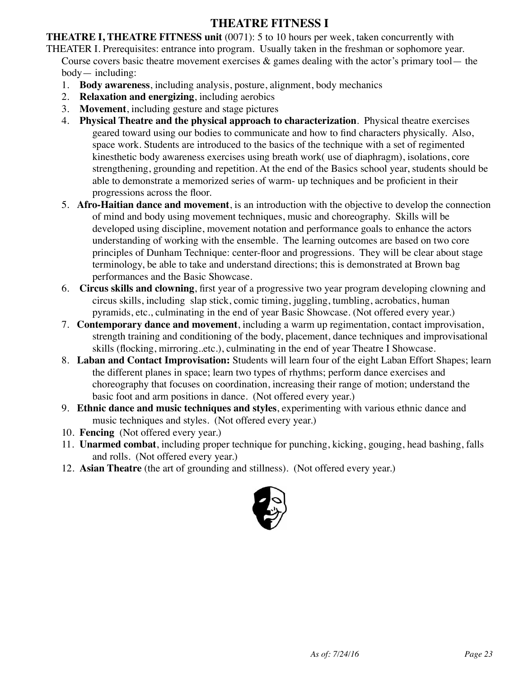### **THEATRE FITNESS I**

**THEATRE I, THEATRE FITNESS unit** (0071): 5 to 10 hours per week, taken concurrently with THEATER I. Prerequisites: entrance into program. Usually taken in the freshman or sophomore year. Course covers basic theatre movement exercises  $\&$  games dealing with the actor's primary tool— the body— including:

- 1. **Body awareness**, including analysis, posture, alignment, body mechanics
- 2. **Relaxation and energizing**, including aerobics
- 3. **Movement**, including gesture and stage pictures
- 4. **Physical Theatre and the physical approach to characterization**. Physical theatre exercises geared toward using our bodies to communicate and how to find characters physically. Also, space work. Students are introduced to the basics of the technique with a set of regimented kinesthetic body awareness exercises using breath work( use of diaphragm), isolations, core strengthening, grounding and repetition. At the end of the Basics school year, students should be able to demonstrate a memorized series of warm- up techniques and be proficient in their progressions across the floor.
- 5. **Afro-Haitian dance and movement**, is an introduction with the objective to develop the connection of mind and body using movement techniques, music and choreography. Skills will be developed using discipline, movement notation and performance goals to enhance the actors understanding of working with the ensemble. The learning outcomes are based on two core principles of Dunham Technique: center-floor and progressions. They will be clear about stage terminology, be able to take and understand directions; this is demonstrated at Brown bag performances and the Basic Showcase.
- 6. **Circus skills and clowning**, first year of a progressive two year program developing clowning and circus skills, including slap stick, comic timing, juggling, tumbling, acrobatics, human pyramids, etc., culminating in the end of year Basic Showcase. (Not offered every year.)
- 7. **Contemporary dance and movement**, including a warm up regimentation, contact improvisation, strength training and conditioning of the body, placement, dance techniques and improvisational skills (flocking, mirroring..etc.), culminating in the end of year Theatre I Showcase.
- 8. **Laban and Contact Improvisation:** Students will learn four of the eight Laban Effort Shapes; learn the different planes in space; learn two types of rhythms; perform dance exercises and choreography that focuses on coordination, increasing their range of motion; understand the basic foot and arm positions in dance. (Not offered every year.)
- 9. **Ethnic dance and music techniques and styles**, experimenting with various ethnic dance and music techniques and styles. (Not offered every year.)
- 10. **Fencing** (Not offered every year.)
- 11. **Unarmed combat**, including proper technique for punching, kicking, gouging, head bashing, falls and rolls. (Not offered every year.)
- 12. **Asian Theatre** (the art of grounding and stillness). (Not offered every year.)

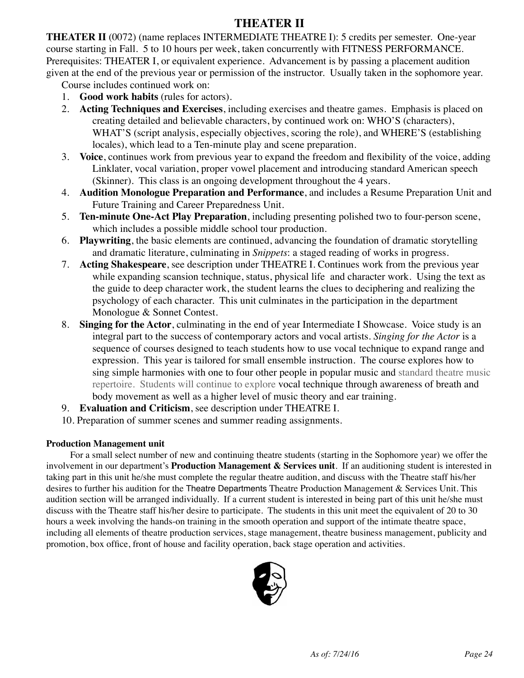### **THEATER II**

**THEATER II** (0072) (name replaces INTERMEDIATE THEATRE I): 5 credits per semester. One-year course starting in Fall. 5 to 10 hours per week, taken concurrently with FITNESS PERFORMANCE. Prerequisites: THEATER I, or equivalent experience. Advancement is by passing a placement audition given at the end of the previous year or permission of the instructor. Usually taken in the sophomore year.

Course includes continued work on:

- 1. **Good work habits** (rules for actors).
- 2. **Acting Techniques and Exercises**, including exercises and theatre games. Emphasis is placed on creating detailed and believable characters, by continued work on: WHO'S (characters), WHAT'S (script analysis, especially objectives, scoring the role), and WHERE'S (establishing locales), which lead to a Ten-minute play and scene preparation.
- 3. **Voice**, continues work from previous year to expand the freedom and flexibility of the voice, adding Linklater, vocal variation, proper vowel placement and introducing standard American speech (Skinner). This class is an ongoing development throughout the 4 years.
- 4. **Audition Monologue Preparation and Performance**, and includes a Resume Preparation Unit and Future Training and Career Preparedness Unit.
- 5. **Ten-minute One-Act Play Preparation**, including presenting polished two to four-person scene, which includes a possible middle school tour production.
- 6. **Playwriting**, the basic elements are continued, advancing the foundation of dramatic storytelling and dramatic literature, culminating in *Snippets*: a staged reading of works in progress.
- 7. **Acting Shakespeare**, see description under THEATRE I. Continues work from the previous year while expanding scansion technique, status, physical life and character work. Using the text as the guide to deep character work, the student learns the clues to deciphering and realizing the psychology of each character. This unit culminates in the participation in the department Monologue & Sonnet Contest.
- 8. **Singing for the Actor**, culminating in the end of year Intermediate I Showcase. Voice study is an integral part to the success of contemporary actors and vocal artists. *Singing for the Actor* is a sequence of courses designed to teach students how to use vocal technique to expand range and expression. This year is tailored for small ensemble instruction. The course explores how to sing simple harmonies with one to four other people in popular music and standard theatre music repertoire. Students will continue to explore vocal technique through awareness of breath and body movement as well as a higher level of music theory and ear training.
- 9. **Evaluation and Criticism**, see description under THEATRE I.
- 10. Preparation of summer scenes and summer reading assignments.

#### **Production Management unit**

For a small select number of new and continuing theatre students (starting in the Sophomore year) we offer the involvement in our department's **Production Management & Services unit**. If an auditioning student is interested in taking part in this unit he/she must complete the regular theatre audition, and discuss with the Theatre staff his/her desires to further his audition for the Theatre Departments Theatre Production Management & Services Unit. This audition section will be arranged individually. If a current student is interested in being part of this unit he/she must discuss with the Theatre staff his/her desire to participate. The students in this unit meet the equivalent of 20 to 30 hours a week involving the hands-on training in the smooth operation and support of the intimate theatre space, including all elements of theatre production services, stage management, theatre business management, publicity and promotion, box office, front of house and facility operation, back stage operation and activities.

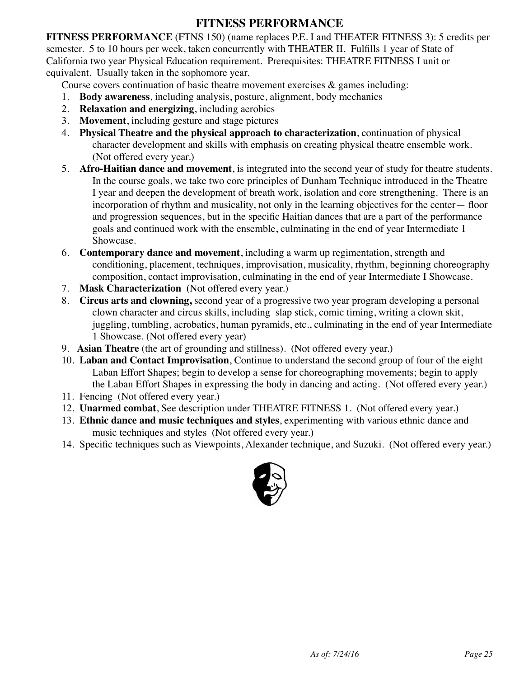### **FITNESS PERFORMANCE**

**FITNESS PERFORMANCE** (FTNS 150) (name replaces P.E. I and THEATER FITNESS 3): 5 credits per semester. 5 to 10 hours per week, taken concurrently with THEATER II. Fulfills 1 year of State of California two year Physical Education requirement. Prerequisites: THEATRE FITNESS I unit or equivalent. Usually taken in the sophomore year.

Course covers continuation of basic theatre movement exercises & games including:

- 1. **Body awareness**, including analysis, posture, alignment, body mechanics
- 2. **Relaxation and energizing**, including aerobics
- 3. **Movement**, including gesture and stage pictures
- 4. **Physical Theatre and the physical approach to characterization**, continuation of physical character development and skills with emphasis on creating physical theatre ensemble work. (Not offered every year.)
- 5. **Afro-Haitian dance and movement**, is integrated into the second year of study for theatre students. In the course goals, we take two core principles of Dunham Technique introduced in the Theatre I year and deepen the development of breath work, isolation and core strengthening. There is an incorporation of rhythm and musicality, not only in the learning objectives for the center— floor and progression sequences, but in the specific Haitian dances that are a part of the performance goals and continued work with the ensemble, culminating in the end of year Intermediate 1 Showcase.
- 6. **Contemporary dance and movement**, including a warm up regimentation, strength and conditioning, placement, techniques, improvisation, musicality, rhythm, beginning choreography composition, contact improvisation, culminating in the end of year Intermediate I Showcase.
- 7. **Mask Characterization** (Not offered every year.)
- 8. **Circus arts and clowning,** second year of a progressive two year program developing a personal clown character and circus skills, including slap stick, comic timing, writing a clown skit, juggling, tumbling, acrobatics, human pyramids, etc., culminating in the end of year Intermediate 1 Showcase. (Not offered every year)
- 9. **Asian Theatre** (the art of grounding and stillness). (Not offered every year.)
- 10. **Laban and Contact Improvisation**, Continue to understand the second group of four of the eight Laban Effort Shapes; begin to develop a sense for choreographing movements; begin to apply the Laban Effort Shapes in expressing the body in dancing and acting. (Not offered every year.)
- 11. Fencing (Not offered every year.)
- 12. **Unarmed combat**, See description under THEATRE FITNESS 1. (Not offered every year.)
- 13. **Ethnic dance and music techniques and styles**, experimenting with various ethnic dance and music techniques and styles (Not offered every year.)
- 14. Specific techniques such as Viewpoints, Alexander technique, and Suzuki. (Not offered every year.)

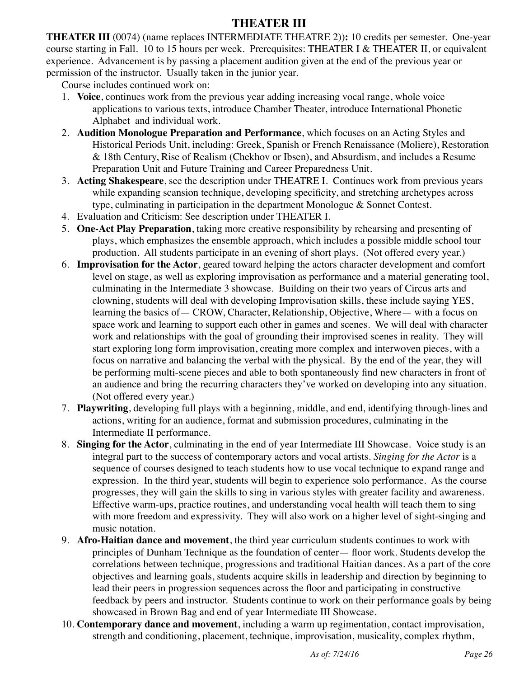### **THEATER III**

**THEATER III** (0074) (name replaces INTERMEDIATE THEATRE 2))**:** 10 credits per semester. One-year course starting in Fall. 10 to 15 hours per week. Prerequisites: THEATER I & THEATER II, or equivalent experience. Advancement is by passing a placement audition given at the end of the previous year or permission of the instructor. Usually taken in the junior year.

Course includes continued work on:

- 1. **Voice**, continues work from the previous year adding increasing vocal range, whole voice applications to various texts, introduce Chamber Theater, introduce International Phonetic Alphabet and individual work.
- 2. **Audition Monologue Preparation and Performance**, which focuses on an Acting Styles and Historical Periods Unit, including: Greek, Spanish or French Renaissance (Moliere), Restoration & 18th Century, Rise of Realism (Chekhov or Ibsen), and Absurdism, and includes a Resume Preparation Unit and Future Training and Career Preparedness Unit.
- 3. **Acting Shakespeare**, see the description under THEATRE I. Continues work from previous years while expanding scansion technique, developing specificity, and stretching archetypes across type, culminating in participation in the department Monologue & Sonnet Contest.
- 4. Evaluation and Criticism: See description under THEATER I.
- 5. **One-Act Play Preparation**, taking more creative responsibility by rehearsing and presenting of plays, which emphasizes the ensemble approach, which includes a possible middle school tour production. All students participate in an evening of short plays. (Not offered every year.)
- 6. **Improvisation for the Actor**, geared toward helping the actors character development and comfort level on stage, as well as exploring improvisation as performance and a material generating tool, culminating in the Intermediate 3 showcase. Building on their two years of Circus arts and clowning, students will deal with developing Improvisation skills, these include saying YES, learning the basics of— CROW, Character, Relationship, Objective, Where— with a focus on space work and learning to support each other in games and scenes. We will deal with character work and relationships with the goal of grounding their improvised scenes in reality. They will start exploring long form improvisation, creating more complex and interwoven pieces, with a focus on narrative and balancing the verbal with the physical. By the end of the year, they will be performing multi-scene pieces and able to both spontaneously find new characters in front of an audience and bring the recurring characters they've worked on developing into any situation. (Not offered every year.)
- 7. **Playwriting**, developing full plays with a beginning, middle, and end, identifying through-lines and actions, writing for an audience, format and submission procedures, culminating in the Intermediate II performance.
- 8. **Singing for the Actor**, culminating in the end of year Intermediate III Showcase. Voice study is an integral part to the success of contemporary actors and vocal artists. *Singing for the Actor* is a sequence of courses designed to teach students how to use vocal technique to expand range and expression. In the third year, students will begin to experience solo performance. As the course progresses, they will gain the skills to sing in various styles with greater facility and awareness. Effective warm-ups, practice routines, and understanding vocal health will teach them to sing with more freedom and expressivity. They will also work on a higher level of sight-singing and music notation.
- 9. **Afro-Haitian dance and movement**, the third year curriculum students continues to work with principles of Dunham Technique as the foundation of center— floor work. Students develop the correlations between technique, progressions and traditional Haitian dances. As a part of the core objectives and learning goals, students acquire skills in leadership and direction by beginning to lead their peers in progression sequences across the floor and participating in constructive feedback by peers and instructor. Students continue to work on their performance goals by being showcased in Brown Bag and end of year Intermediate III Showcase.
- 10. **Contemporary dance and movement**, including a warm up regimentation, contact improvisation, strength and conditioning, placement, technique, improvisation, musicality, complex rhythm,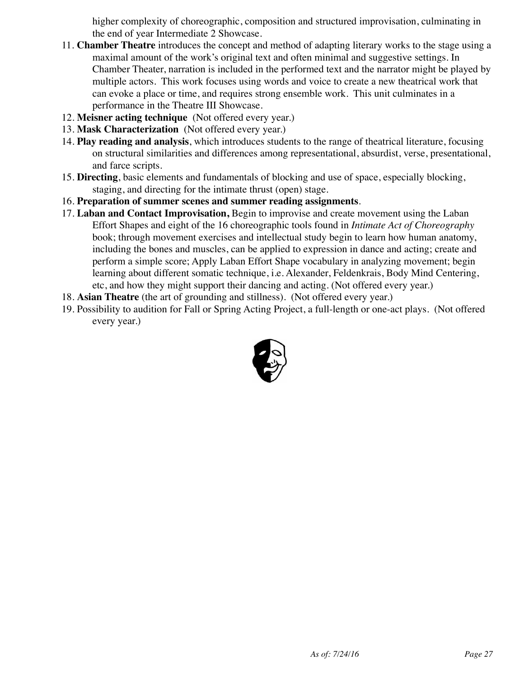higher complexity of choreographic, composition and structured improvisation, culminating in the end of year Intermediate 2 Showcase.

- 11. **Chamber Theatre** introduces the concept and method of adapting literary works to the stage using a maximal amount of the work's original text and often minimal and suggestive settings. In Chamber Theater, narration is included in the performed text and the narrator might be played by multiple actors. This work focuses using words and voice to create a new theatrical work that can evoke a place or time, and requires strong ensemble work. This unit culminates in a performance in the Theatre III Showcase.
- 12. **Meisner acting technique** (Not offered every year.)
- 13. **Mask Characterization** (Not offered every year.)
- 14. **Play reading and analysis**, which introduces students to the range of theatrical literature, focusing on structural similarities and differences among representational, absurdist, verse, presentational, and farce scripts.
- 15. **Directing**, basic elements and fundamentals of blocking and use of space, especially blocking, staging, and directing for the intimate thrust (open) stage.
- 16. **Preparation of summer scenes and summer reading assignments**.
- 17. **Laban and Contact Improvisation,** Begin to improvise and create movement using the Laban Effort Shapes and eight of the 16 choreographic tools found in *Intimate Act of Choreography* book; through movement exercises and intellectual study begin to learn how human anatomy, including the bones and muscles, can be applied to expression in dance and acting; create and perform a simple score; Apply Laban Effort Shape vocabulary in analyzing movement; begin learning about different somatic technique, i.e. Alexander, Feldenkrais, Body Mind Centering, etc, and how they might support their dancing and acting. (Not offered every year.)
- 18. **Asian Theatre** (the art of grounding and stillness). (Not offered every year.)
- 19. Possibility to audition for Fall or Spring Acting Project, a full-length or one-act plays. (Not offered every year.)

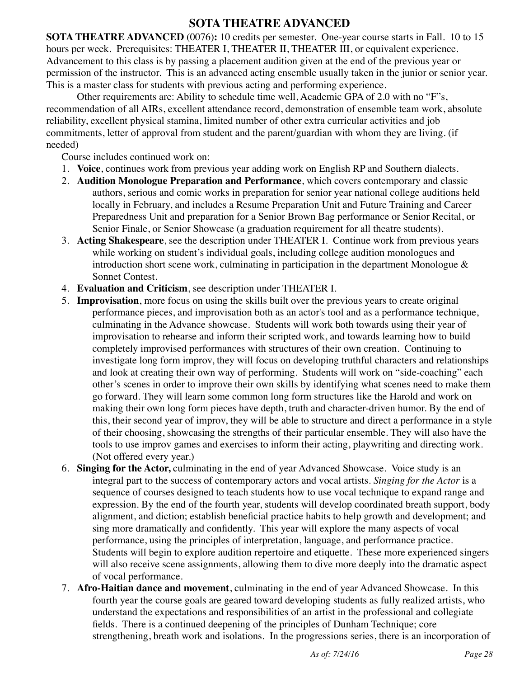### **SOTA THEATRE ADVANCED**

**SOTA THEATRE ADVANCED** (0076)**:** 10 credits per semester. One-year course starts in Fall. 10 to 15 hours per week. Prerequisites: THEATER I, THEATER II, THEATER III, or equivalent experience. Advancement to this class is by passing a placement audition given at the end of the previous year or permission of the instructor. This is an advanced acting ensemble usually taken in the junior or senior year. This is a master class for students with previous acting and performing experience.

Other requirements are: Ability to schedule time well, Academic GPA of 2.0 with no "F"s, recommendation of all AIRs, excellent attendance record, demonstration of ensemble team work, absolute reliability, excellent physical stamina, limited number of other extra curricular activities and job commitments, letter of approval from student and the parent/guardian with whom they are living. (if needed)

Course includes continued work on:

- 1. **Voice**, continues work from previous year adding work on English RP and Southern dialects.
- 2. **Audition Monologue Preparation and Performance**, which covers contemporary and classic authors, serious and comic works in preparation for senior year national college auditions held locally in February, and includes a Resume Preparation Unit and Future Training and Career Preparedness Unit and preparation for a Senior Brown Bag performance or Senior Recital, or Senior Finale, or Senior Showcase (a graduation requirement for all theatre students).
- 3. **Acting Shakespeare**, see the description under THEATER I. Continue work from previous years while working on student's individual goals, including college audition monologues and introduction short scene work, culminating in participation in the department Monologue  $\&$ Sonnet Contest.
- 4. **Evaluation and Criticism**, see description under THEATER I.
- 5. **Improvisation**, more focus on using the skills built over the previous years to create original performance pieces, and improvisation both as an actor's tool and as a performance technique, culminating in the Advance showcase. Students will work both towards using their year of improvisation to rehearse and inform their scripted work, and towards learning how to build completely improvised performances with structures of their own creation. Continuing to investigate long form improv, they will focus on developing truthful characters and relationships and look at creating their own way of performing. Students will work on "side-coaching" each other's scenes in order to improve their own skills by identifying what scenes need to make them go forward. They will learn some common long form structures like the Harold and work on making their own long form pieces have depth, truth and character-driven humor. By the end of this, their second year of improv, they will be able to structure and direct a performance in a style of their choosing, showcasing the strengths of their particular ensemble. They will also have the tools to use improv games and exercises to inform their acting, playwriting and directing work. (Not offered every year.)
- 6. **Singing for the Actor,** culminating in the end of year Advanced Showcase. Voice study is an integral part to the success of contemporary actors and vocal artists. *Singing for the Actor* is a sequence of courses designed to teach students how to use vocal technique to expand range and expression. By the end of the fourth year, students will develop coordinated breath support, body alignment, and diction; establish beneficial practice habits to help growth and development; and sing more dramatically and confidently. This year will explore the many aspects of vocal performance, using the principles of interpretation, language, and performance practice. Students will begin to explore audition repertoire and etiquette. These more experienced singers will also receive scene assignments, allowing them to dive more deeply into the dramatic aspect of vocal performance.
- 7. **Afro-Haitian dance and movement**, culminating in the end of year Advanced Showcase. In this fourth year the course goals are geared toward developing students as fully realized artists, who understand the expectations and responsibilities of an artist in the professional and collegiate fields. There is a continued deepening of the principles of Dunham Technique; core strengthening, breath work and isolations. In the progressions series, there is an incorporation of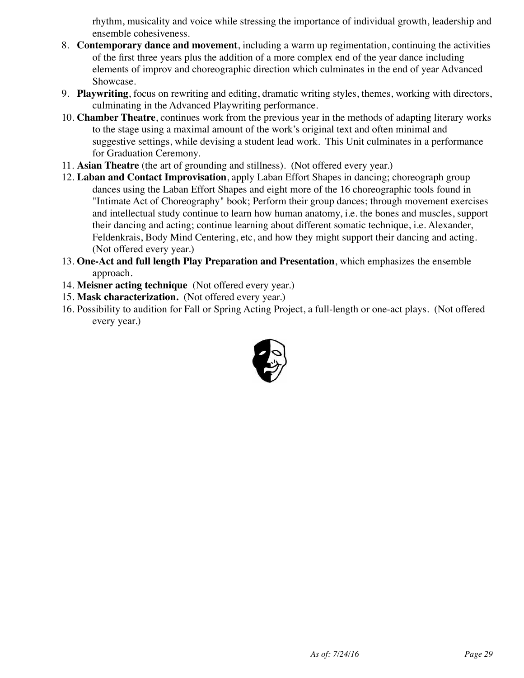rhythm, musicality and voice while stressing the importance of individual growth, leadership and ensemble cohesiveness.

- 8. **Contemporary dance and movement**, including a warm up regimentation, continuing the activities of the first three years plus the addition of a more complex end of the year dance including elements of improv and choreographic direction which culminates in the end of year Advanced Showcase.
- 9. **Playwriting**, focus on rewriting and editing, dramatic writing styles, themes, working with directors, culminating in the Advanced Playwriting performance.
- 10. **Chamber Theatre**, continues work from the previous year in the methods of adapting literary works to the stage using a maximal amount of the work's original text and often minimal and suggestive settings, while devising a student lead work. This Unit culminates in a performance for Graduation Ceremony.
- 11. **Asian Theatre** (the art of grounding and stillness). (Not offered every year.)
- 12. **Laban and Contact Improvisation**, apply Laban Effort Shapes in dancing; choreograph group dances using the Laban Effort Shapes and eight more of the 16 choreographic tools found in "Intimate Act of Choreography" book; Perform their group dances; through movement exercises and intellectual study continue to learn how human anatomy, i.e. the bones and muscles, support their dancing and acting; continue learning about different somatic technique, i.e. Alexander, Feldenkrais, Body Mind Centering, etc, and how they might support their dancing and acting. (Not offered every year.)
- 13. **One-Act and full length Play Preparation and Presentation**, which emphasizes the ensemble approach.
- 14. **Meisner acting technique** (Not offered every year.)
- 15. **Mask characterization.** (Not offered every year.)
- 16. Possibility to audition for Fall or Spring Acting Project, a full-length or one-act plays. (Not offered every year.)

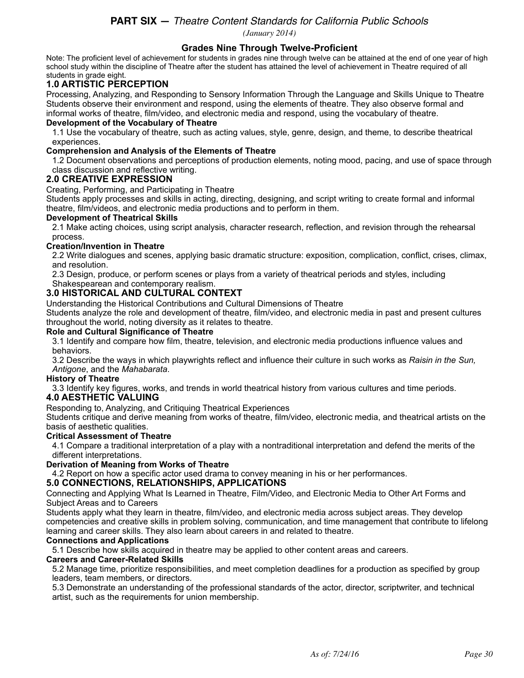#### **PART SIX —** *Theatre Content Standards for California Public Schools (January 2014)*

**Grades Nine Through Twelve-Proficient** 

Note: The proficient level of achievement for students in grades nine through twelve can be attained at the end of one year of high school study within the discipline of Theatre after the student has attained the level of achievement in Theatre required of all students in grade eight.

### **1.0 ARTISTIC PERCEPTION**

Processing, Analyzing, and Responding to Sensory Information Through the Language and Skills Unique to Theatre Students observe their environment and respond, using the elements of theatre. They also observe formal and informal works of theatre, film/video, and electronic media and respond, using the vocabulary of theatre.

#### **Development of the Vocabulary of Theatre**

1.1 Use the vocabulary of theatre, such as acting values, style, genre, design, and theme, to describe theatrical experiences.

#### **Comprehension and Analysis of the Elements of Theatre**

1.2 Document observations and perceptions of production elements, noting mood, pacing, and use of space through class discussion and reflective writing.

#### **2.0 CREATIVE EXPRESSION**

Creating, Performing, and Participating in Theatre

Students apply processes and skills in acting, directing, designing, and script writing to create formal and informal theatre, film/videos, and electronic media productions and to perform in them.

#### **Development of Theatrical Skills**

2.1 Make acting choices, using script analysis, character research, reflection, and revision through the rehearsal process.

#### **Creation/Invention in Theatre**

2.2 Write dialogues and scenes, applying basic dramatic structure: exposition, complication, conflict, crises, climax, and resolution.

2.3 Design, produce, or perform scenes or plays from a variety of theatrical periods and styles, including Shakespearean and contemporary realism.

#### **3.0 HISTORICAL AND CULTURAL CONTEXT**

Understanding the Historical Contributions and Cultural Dimensions of Theatre

Students analyze the role and development of theatre, film/video, and electronic media in past and present cultures throughout the world, noting diversity as it relates to theatre.

#### **Role and Cultural Significance of Theatre**

3.1 Identify and compare how film, theatre, television, and electronic media productions influence values and behaviors.

3.2 Describe the ways in which playwrights reflect and influence their culture in such works as *Raisin in the Sun, Antigone*, and the *Mahabarata*.

#### **History of Theatre**

3.3 Identify key figures, works, and trends in world theatrical history from various cultures and time periods. **4.0 AESTHETIC VALUING** 

Responding to, Analyzing, and Critiquing Theatrical Experiences

Students critique and derive meaning from works of theatre, film/video, electronic media, and theatrical artists on the basis of aesthetic qualities.

#### **Critical Assessment of Theatre**

4.1 Compare a traditional interpretation of a play with a nontraditional interpretation and defend the merits of the different interpretations.

#### **Derivation of Meaning from Works of Theatre**

4.2 Report on how a specific actor used drama to convey meaning in his or her performances.

#### **5.0 CONNECTIONS, RELATIONSHIPS, APPLICATIONS**

Connecting and Applying What Is Learned in Theatre, Film/Video, and Electronic Media to Other Art Forms and Subject Areas and to Careers

Students apply what they learn in theatre, film/video, and electronic media across subject areas. They develop competencies and creative skills in problem solving, communication, and time management that contribute to lifelong learning and career skills. They also learn about careers in and related to theatre.

#### **Connections and Applications**

5.1 Describe how skills acquired in theatre may be applied to other content areas and careers.

#### **Careers and Career-Related Skills**

5.2 Manage time, prioritize responsibilities, and meet completion deadlines for a production as specified by group leaders, team members, or directors.

5.3 Demonstrate an understanding of the professional standards of the actor, director, scriptwriter, and technical artist, such as the requirements for union membership.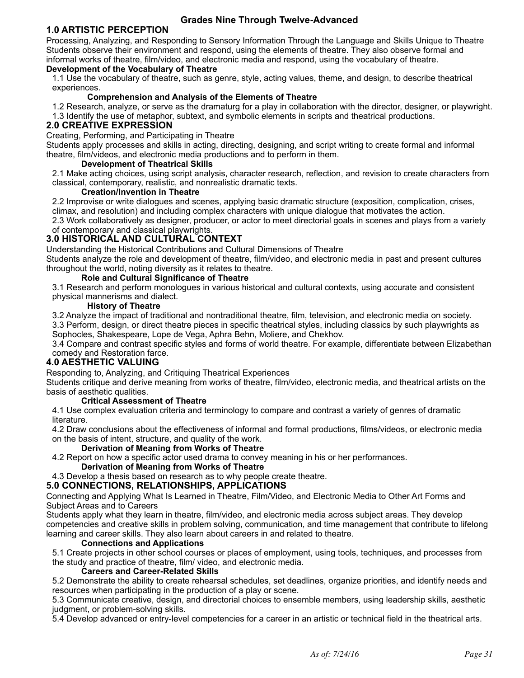#### **Grades Nine Through Twelve-Advanced**

### **1.0 ARTISTIC PERCEPTION**

Processing, Analyzing, and Responding to Sensory Information Through the Language and Skills Unique to Theatre Students observe their environment and respond, using the elements of theatre. They also observe formal and informal works of theatre, film/video, and electronic media and respond, using the vocabulary of theatre.

### **Development of the Vocabulary of Theatre**

1.1 Use the vocabulary of theatre, such as genre, style, acting values, theme, and design, to describe theatrical experiences.

#### **Comprehension and Analysis of the Elements of Theatre**

1.2 Research, analyze, or serve as the dramaturg for a play in collaboration with the director, designer, or playwright. 1.3 Identify the use of metaphor, subtext, and symbolic elements in scripts and theatrical productions.

#### **2.0 CREATIVE EXPRESSION**

Creating, Performing, and Participating in Theatre

Students apply processes and skills in acting, directing, designing, and script writing to create formal and informal theatre, film/videos, and electronic media productions and to perform in them.

#### **Development of Theatrical Skills**

2.1 Make acting choices, using script analysis, character research, reflection, and revision to create characters from classical, contemporary, realistic, and nonrealistic dramatic texts.

#### **Creation/Invention in Theatre**

2.2 Improvise or write dialogues and scenes, applying basic dramatic structure (exposition, complication, crises, climax, and resolution) and including complex characters with unique dialogue that motivates the action.

2.3 Work collaboratively as designer, producer, or actor to meet directorial goals in scenes and plays from a variety of contemporary and classical playwrights.

#### **3.0 HISTORICAL AND CULTURAL CONTEXT**

Understanding the Historical Contributions and Cultural Dimensions of Theatre

Students analyze the role and development of theatre, film/video, and electronic media in past and present cultures throughout the world, noting diversity as it relates to theatre.

#### **Role and Cultural Significance of Theatre**

3.1 Research and perform monologues in various historical and cultural contexts, using accurate and consistent physical mannerisms and dialect.

#### **History of Theatre**

3.2 Analyze the impact of traditional and nontraditional theatre, film, television, and electronic media on society. 3.3 Perform, design, or direct theatre pieces in specific theatrical styles, including classics by such playwrights as Sophocles, Shakespeare, Lope de Vega, Aphra Behn, Moliere, and Chekhov.

3.4 Compare and contrast specific styles and forms of world theatre. For example, differentiate between Elizabethan comedy and Restoration farce.

#### **4.0 AESTHETIC VALUING**

Responding to, Analyzing, and Critiquing Theatrical Experiences

Students critique and derive meaning from works of theatre, film/video, electronic media, and theatrical artists on the basis of aesthetic qualities.

#### **Critical Assessment of Theatre**

4.1 Use complex evaluation criteria and terminology to compare and contrast a variety of genres of dramatic literature.

4.2 Draw conclusions about the effectiveness of informal and formal productions, films/videos, or electronic media on the basis of intent, structure, and quality of the work.

#### **Derivation of Meaning from Works of Theatre**

4.2 Report on how a specific actor used drama to convey meaning in his or her performances.

#### **Derivation of Meaning from Works of Theatre**

4.3 Develop a thesis based on research as to why people create theatre.

#### **5.0 CONNECTIONS, RELATIONSHIPS, APPLICATIONS**

Connecting and Applying What Is Learned in Theatre, Film/Video, and Electronic Media to Other Art Forms and Subject Areas and to Careers

Students apply what they learn in theatre, film/video, and electronic media across subject areas. They develop competencies and creative skills in problem solving, communication, and time management that contribute to lifelong learning and career skills. They also learn about careers in and related to theatre.

#### **Connections and Applications**

5.1 Create projects in other school courses or places of employment, using tools, techniques, and processes from the study and practice of theatre, film/ video, and electronic media.

#### **Careers and Career-Related Skills**

5.2 Demonstrate the ability to create rehearsal schedules, set deadlines, organize priorities, and identify needs and resources when participating in the production of a play or scene.

5.3 Communicate creative, design, and directorial choices to ensemble members, using leadership skills, aesthetic judgment, or problem-solving skills.

5.4 Develop advanced or entry-level competencies for a career in an artistic or technical field in the theatrical arts.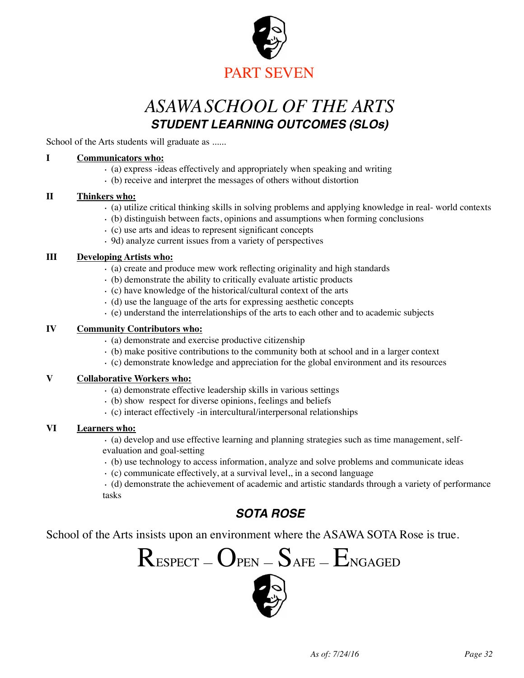

# *ASAWASCHOOL OF THE ARTS STUDENT LEARNING OUTCOMES (SLOs)*

School of the Arts students will graduate as ......

#### **I Communicators who:**

- · (a) express -ideas effectively and appropriately when speaking and writing
- · (b) receive and interpret the messages of others without distortion

#### **II Thinkers who:**

- · (a) utilize critical thinking skills in solving problems and applying knowledge in real- world contexts
- · (b) distinguish between facts, opinions and assumptions when forming conclusions
- · (c) use arts and ideas to represent significant concepts
- · 9d) analyze current issues from a variety of perspectives

#### **III Developing Artists who:**

- · (a) create and produce mew work reflecting originality and high standards
- · (b) demonstrate the ability to critically evaluate artistic products
- · (c) have knowledge of the historical/cultural context of the arts
- · (d) use the language of the arts for expressing aesthetic concepts
- · (e) understand the interrelationships of the arts to each other and to academic subjects

#### **IV Community Contributors who:**

- · (a) demonstrate and exercise productive citizenship
- · (b) make positive contributions to the community both at school and in a larger context
- · (c) demonstrate knowledge and appreciation for the global environment and its resources

#### **V Collaborative Workers who:**

- · (a) demonstrate effective leadership skills in various settings
- · (b) show respect for diverse opinions, feelings and beliefs
- · (c) interact effectively -in intercultural/interpersonal relationships

#### **VI Learners who:**

· (a) develop and use effective learning and planning strategies such as time management, selfevaluation and goal-setting

- · (b) use technology to access information, analyze and solve problems and communicate ideas
- · (c) communicate effectively, at a survival level,, in a second language

· (d) demonstrate the achievement of academic and artistic standards through a variety of performance tasks

### *SOTA ROSE*

School of the Arts insists upon an environment where the ASAWA SOTA Rose is true.

$$
ResPECT-Oper-S_{AFE}-E_{NGAGED}
$$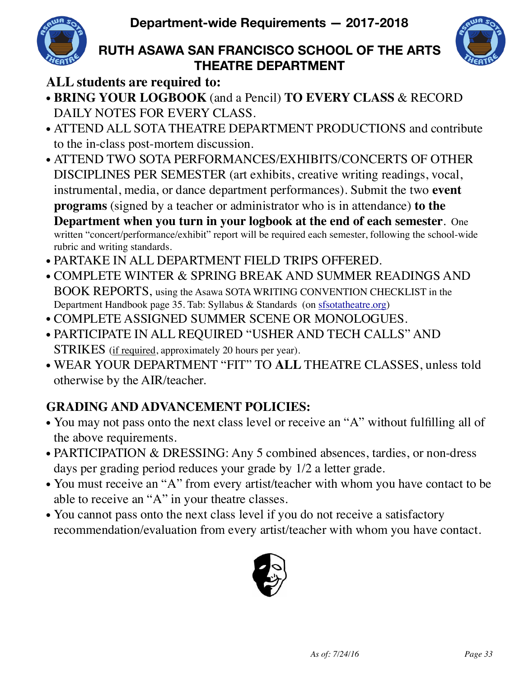

## **RUTH ASAWA SAN FRANCISCO SCHOOL OF THE ARTS THEATRE DEPARTMENT**



## **ALL students are required to:**

- **BRING YOUR LOGBOOK** (and a Pencil) **TO EVERY CLASS** & RECORD DAILY NOTES FOR EVERY CLASS.
- ATTEND ALL SOTA THEATRE DEPARTMENT PRODUCTIONS and contribute to the in-class post-mortem discussion.
- ATTEND TWO SOTA PERFORMANCES/EXHIBITS/CONCERTS OF OTHER DISCIPLINES PER SEMESTER (art exhibits, creative writing readings, vocal, instrumental, media, or dance department performances). Submit the two **event programs** (signed by a teacher or administrator who is in attendance) **to the Department when you turn in your logbook at the end of each semester**. One written "concert/performance/exhibit" report will be required each semester, following the school-wide rubric and writing standards.
- PARTAKE IN ALL DEPARTMENT FIELD TRIPS OFFERED.
- COMPLETE WINTER & SPRING BREAK AND SUMMER READINGS AND BOOK REPORTS, using the Asawa SOTA WRITING CONVENTION CHECKLIST in the Department Handbook page 35. Tab: Syllabus & Standards (on [sfsotatheatre.org\)](http://sfsotatheatre.org)
- COMPLETE ASSIGNED SUMMER SCENE OR MONOLOGUES.
- PARTICIPATE IN ALL REQUIRED "USHER AND TECH CALLS" AND STRIKES (if required, approximately 20 hours per year).
- WEAR YOUR DEPARTMENT "FIT" TO **ALL** THEATRE CLASSES, unless told otherwise by the AIR/teacher.

## **GRADING AND ADVANCEMENT POLICIES:**

- You may not pass onto the next class level or receive an "A" without fulfilling all of the above requirements.
- PARTICIPATION & DRESSING: Any 5 combined absences, tardies, or non-dress days per grading period reduces your grade by  $1/2$  a letter grade.
- You must receive an "A" from every artist/teacher with whom you have contact to be able to receive an "A" in your theatre classes.
- You cannot pass onto the next class level if you do not receive a satisfactory recommendation/evaluation from every artist/teacher with whom you have contact.

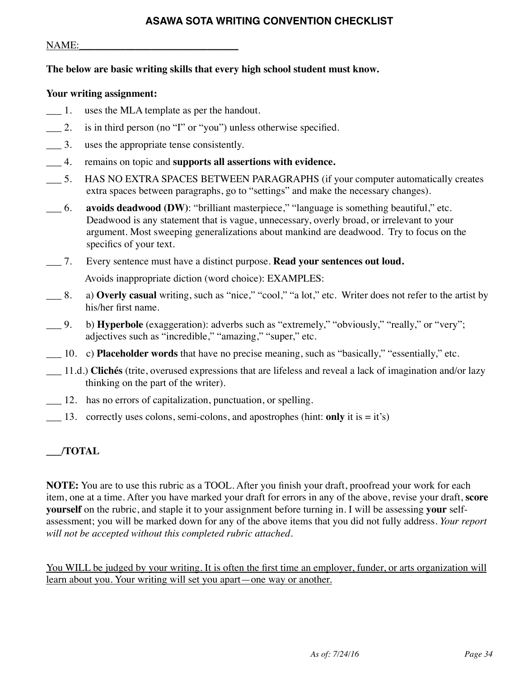### **ASAWA SOTA WRITING CONVENTION CHECKLIST**

#### NAME:

#### **The below are basic writing skills that every high school student must know.**

#### **Your writing assignment:**

- \_\_\_ 1. uses the MLA template as per the handout.
- \_\_\_ 2. is in third person (no "I" or "you") unless otherwise specified.
- \_\_\_ 3. uses the appropriate tense consistently.
- \_\_\_ 4. remains on topic and **supports all assertions with evidence.**
- \_\_\_ 5. HAS NO EXTRA SPACES BETWEEN PARAGRAPHS (if your computer automatically creates extra spaces between paragraphs, go to "settings" and make the necessary changes).
- \_\_\_ 6. **avoids deadwood (DW)**: "brilliant masterpiece," "language is something beautiful," etc. Deadwood is any statement that is vague, unnecessary, overly broad, or irrelevant to your argument. Most sweeping generalizations about mankind are deadwood. Try to focus on the specifics of your text.
- \_\_\_ 7. Every sentence must have a distinct purpose. **Read your sentences out loud.**

Avoids inappropriate diction (word choice): EXAMPLES:

- \_\_\_ 8. a) **Overly casual** writing, such as "nice," "cool," "a lot," etc. Writer does not refer to the artist by his/her first name.
- \_\_\_ 9. b) **Hyperbole** (exaggeration): adverbs such as "extremely," "obviously," "really," or "very"; adjectives such as "incredible," "amazing," "super," etc.
- \_\_\_ 10. c) **Placeholder words** that have no precise meaning, such as "basically," "essentially," etc.
- \_\_\_ 11.d.) **Clichés** (trite, overused expressions that are lifeless and reveal a lack of imagination and/or lazy thinking on the part of the writer).
- \_\_\_ 12. has no errors of capitalization, punctuation, or spelling.
- $\qquad$  13. correctly uses colons, semi-colons, and apostrophes (hint: **only** it is = it's)

### **\_\_\_/TOTAL**

**NOTE:** You are to use this rubric as a TOOL. After you finish your draft, proofread your work for each item, one at a time. After you have marked your draft for errors in any of the above, revise your draft, **score yourself** on the rubric, and staple it to your assignment before turning in. I will be assessing **your** selfassessment; you will be marked down for any of the above items that you did not fully address. *Your report will not be accepted without this completed rubric attached.* 

You WILL be judged by your writing. It is often the first time an employer, funder, or arts organization will learn about you. Your writing will set you apart—one way or another.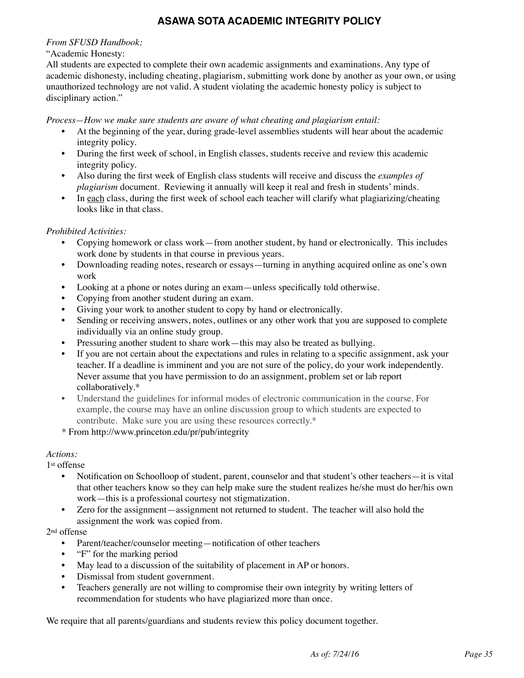### **ASAWA SOTA ACADEMIC INTEGRITY POLICY**

#### *From SFUSD Handbook:*

#### "Academic Honesty:

All students are expected to complete their own academic assignments and examinations. Any type of academic dishonesty, including cheating, plagiarism, submitting work done by another as your own, or using unauthorized technology are not valid. A student violating the academic honesty policy is subject to disciplinary action."

*Process—How we make sure students are aware of what cheating and plagiarism entail:*

- At the beginning of the year, during grade-level assemblies students will hear about the academic integrity policy.
- During the first week of school, in English classes, students receive and review this academic integrity policy.
- Also during the first week of English class students will receive and discuss the *examples of plagiarism* document. Reviewing it annually will keep it real and fresh in students' minds.
- In each class, during the first week of school each teacher will clarify what plagiarizing/cheating looks like in that class.

#### *Prohibited Activities:*

- Copying homework or class work—from another student, by hand or electronically. This includes work done by students in that course in previous years.
- Downloading reading notes, research or essays—turning in anything acquired online as one's own work
- Looking at a phone or notes during an exam—unless specifically told otherwise.
- Copying from another student during an exam.
- Giving your work to another student to copy by hand or electronically.
- Sending or receiving answers, notes, outlines or any other work that you are supposed to complete individually via an online study group.
- Pressuring another student to share work—this may also be treated as bullying.
- If you are not certain about the expectations and rules in relating to a specific assignment, ask your teacher. If a deadline is imminent and you are not sure of the policy, do your work independently. Never assume that you have permission to do an assignment, problem set or lab report collaboratively.\*
- Understand the guidelines for informal modes of electronic communication in the course. For example, the course may have an online discussion group to which students are expected to contribute. Make sure you are using these resources correctly.\*
- \* From http://www.princeton.edu/pr/pub/integrity

#### *Actions:*

1st offense

- Notification on Schoolloop of student, parent, counselor and that student's other teachers—it is vital that other teachers know so they can help make sure the student realizes he/she must do her/his own work—this is a professional courtesy not stigmatization.
- Zero for the assignment—assignment not returned to student. The teacher will also hold the assignment the work was copied from.

#### 2nd offense

- Parent/teacher/counselor meeting—notification of other teachers
- "F" for the marking period
- May lead to a discussion of the suitability of placement in AP or honors.
- Dismissal from student government.
- Teachers generally are not willing to compromise their own integrity by writing letters of recommendation for students who have plagiarized more than once.

We require that all parents/guardians and students review this policy document together.